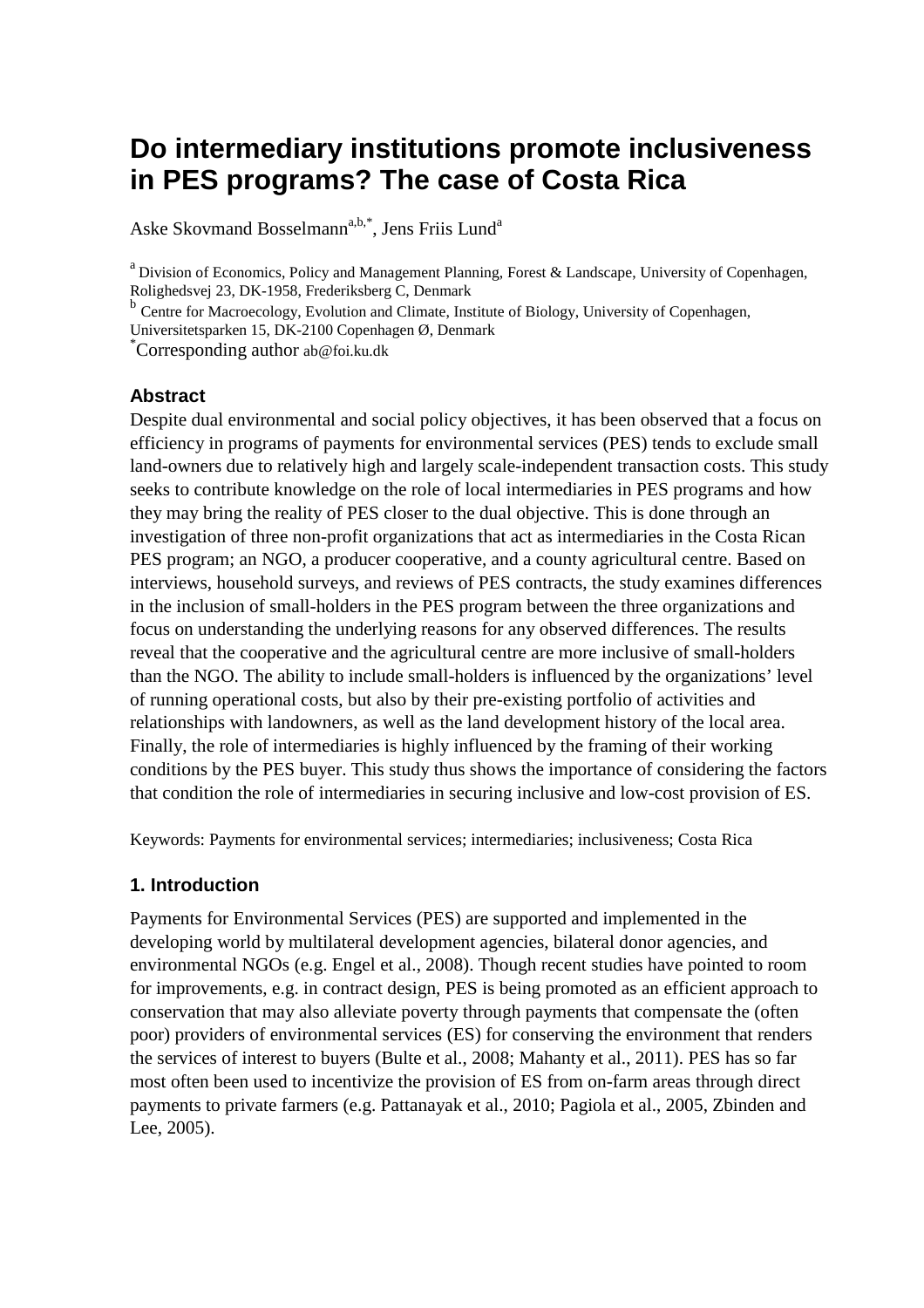# **Do intermediary institutions promote inclusiveness in PES programs? The case of Costa Rica**

Aske Skovmand Bosselmann<sup>a,b,\*</sup>, Jens Friis Lund<sup>a</sup>

 $a<sup>a</sup>$  Division of Economics, Policy and Management Planning, Forest & Landscape, University of Copenhagen, Rolighedsvej 23, DK-1958, Frederiksberg C, Denmark

b Centre for Macroecology, Evolution and Climate, Institute of Biology, University of Copenhagen,

Universitetsparken 15, DK-2100 Copenhagen Ø, Denmark

\*Corresponding author ab@foi.ku.dk

## **Abstract**

Despite dual environmental and social policy objectives, it has been observed that a focus on efficiency in programs of payments for environmental services (PES) tends to exclude small land-owners due to relatively high and largely scale-independent transaction costs. This study seeks to contribute knowledge on the role of local intermediaries in PES programs and how they may bring the reality of PES closer to the dual objective. This is done through an investigation of three non-profit organizations that act as intermediaries in the Costa Rican PES program; an NGO, a producer cooperative, and a county agricultural centre. Based on interviews, household surveys, and reviews of PES contracts, the study examines differences in the inclusion of small-holders in the PES program between the three organizations and focus on understanding the underlying reasons for any observed differences. The results reveal that the cooperative and the agricultural centre are more inclusive of small-holders than the NGO. The ability to include small-holders is influenced by the organizations' level of running operational costs, but also by their pre-existing portfolio of activities and relationships with landowners, as well as the land development history of the local area. Finally, the role of intermediaries is highly influenced by the framing of their working conditions by the PES buyer. This study thus shows the importance of considering the factors that condition the role of intermediaries in securing inclusive and low-cost provision of ES.

Keywords: Payments for environmental services; intermediaries; inclusiveness; Costa Rica

## **1. Introduction**

Payments for Environmental Services (PES) are supported and implemented in the developing world by multilateral development agencies, bilateral donor agencies, and environmental NGOs (e.g. Engel et al., 2008). Though recent studies have pointed to room for improvements, e.g. in contract design, PES is being promoted as an efficient approach to conservation that may also alleviate poverty through payments that compensate the (often poor) providers of environmental services (ES) for conserving the environment that renders the services of interest to buyers (Bulte et al., 2008; Mahanty et al., 2011). PES has so far most often been used to incentivize the provision of ES from on-farm areas through direct payments to private farmers (e.g. Pattanayak et al., 2010; Pagiola et al., 2005, Zbinden and Lee, 2005).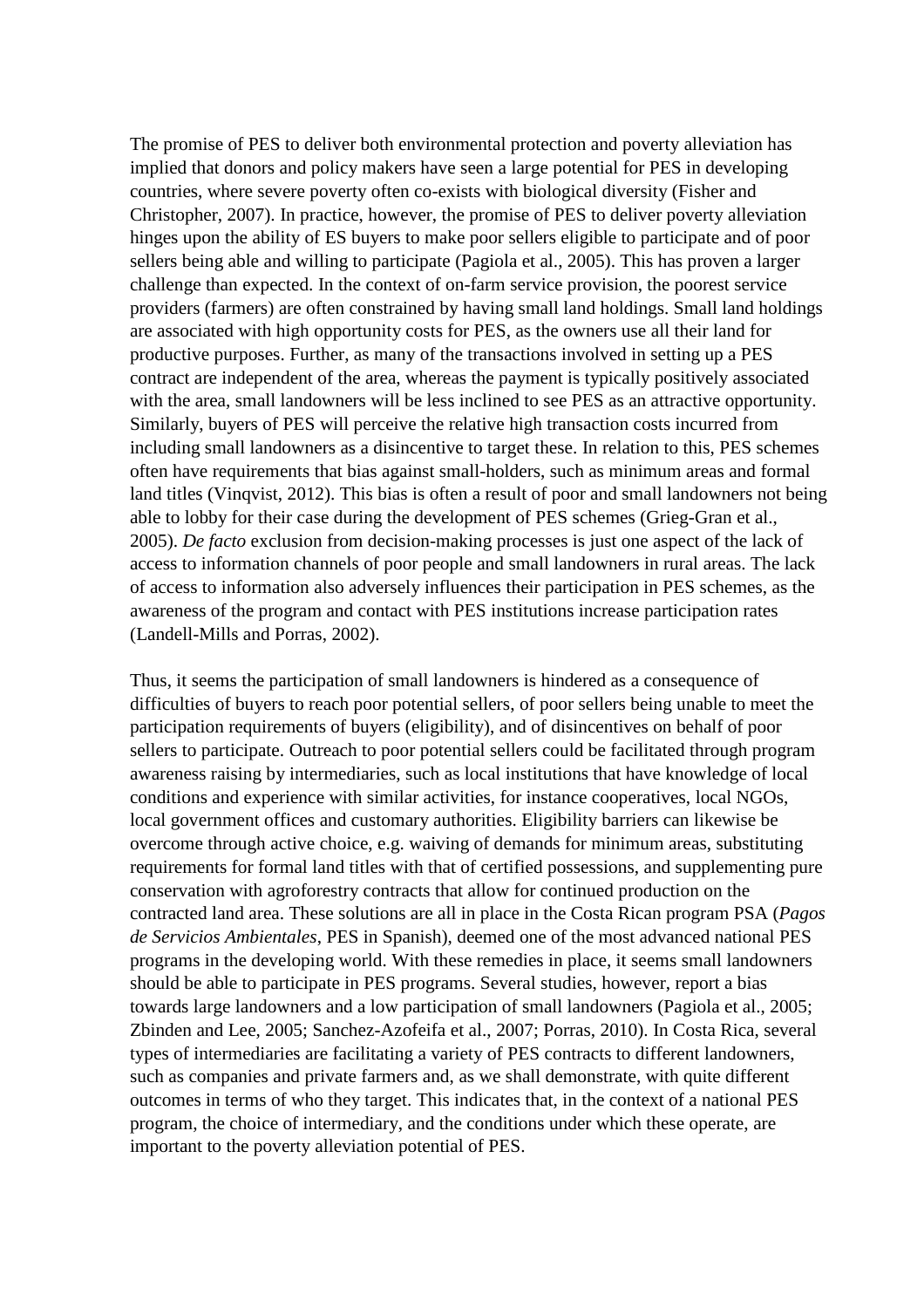The promise of PES to deliver both environmental protection and poverty alleviation has implied that donors and policy makers have seen a large potential for PES in developing countries, where severe poverty often co-exists with biological diversity (Fisher and Christopher, 2007). In practice, however, the promise of PES to deliver poverty alleviation hinges upon the ability of ES buyers to make poor sellers eligible to participate and of poor sellers being able and willing to participate (Pagiola et al., 2005). This has proven a larger challenge than expected. In the context of on-farm service provision, the poorest service providers (farmers) are often constrained by having small land holdings. Small land holdings are associated with high opportunity costs for PES, as the owners use all their land for productive purposes. Further, as many of the transactions involved in setting up a PES contract are independent of the area, whereas the payment is typically positively associated with the area, small landowners will be less inclined to see PES as an attractive opportunity. Similarly, buyers of PES will perceive the relative high transaction costs incurred from including small landowners as a disincentive to target these. In relation to this, PES schemes often have requirements that bias against small-holders, such as minimum areas and formal land titles (Vinqvist, 2012). This bias is often a result of poor and small landowners not being able to lobby for their case during the development of PES schemes (Grieg-Gran et al., 2005). *De facto* exclusion from decision-making processes is just one aspect of the lack of access to information channels of poor people and small landowners in rural areas. The lack of access to information also adversely influences their participation in PES schemes, as the awareness of the program and contact with PES institutions increase participation rates (Landell-Mills and Porras, 2002).

Thus, it seems the participation of small landowners is hindered as a consequence of difficulties of buyers to reach poor potential sellers, of poor sellers being unable to meet the participation requirements of buyers (eligibility), and of disincentives on behalf of poor sellers to participate. Outreach to poor potential sellers could be facilitated through program awareness raising by intermediaries, such as local institutions that have knowledge of local conditions and experience with similar activities, for instance cooperatives, local NGOs, local government offices and customary authorities. Eligibility barriers can likewise be overcome through active choice, e.g. waiving of demands for minimum areas, substituting requirements for formal land titles with that of certified possessions, and supplementing pure conservation with agroforestry contracts that allow for continued production on the contracted land area. These solutions are all in place in the Costa Rican program PSA (*Pagos de Servicios Ambientales*, PES in Spanish), deemed one of the most advanced national PES programs in the developing world. With these remedies in place, it seems small landowners should be able to participate in PES programs. Several studies, however, report a bias towards large landowners and a low participation of small landowners (Pagiola et al., 2005; Zbinden and Lee, 2005; Sanchez-Azofeifa et al., 2007; Porras, 2010). In Costa Rica, several types of intermediaries are facilitating a variety of PES contracts to different landowners, such as companies and private farmers and, as we shall demonstrate, with quite different outcomes in terms of who they target. This indicates that, in the context of a national PES program, the choice of intermediary, and the conditions under which these operate, are important to the poverty alleviation potential of PES.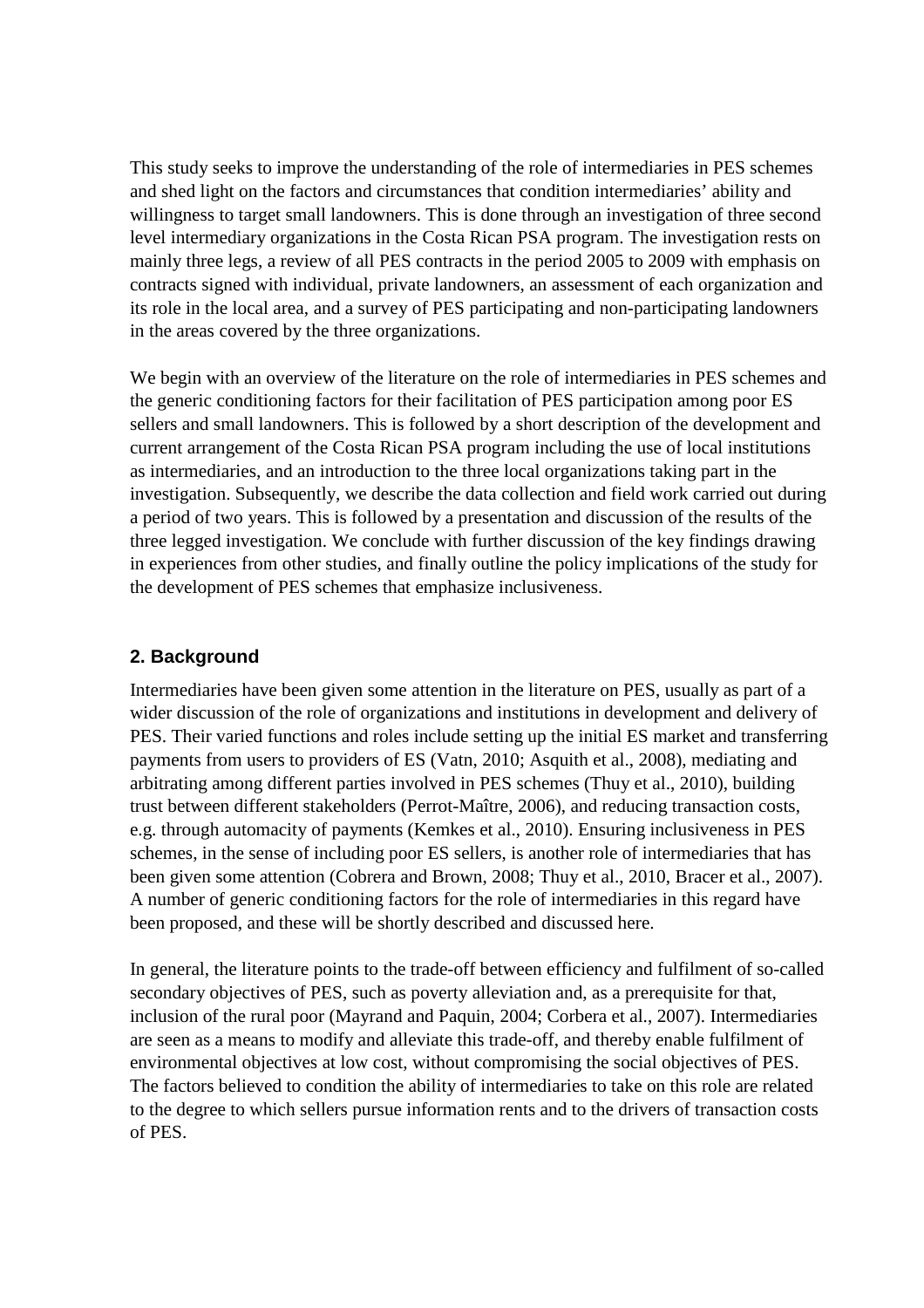This study seeks to improve the understanding of the role of intermediaries in PES schemes and shed light on the factors and circumstances that condition intermediaries' ability and willingness to target small landowners. This is done through an investigation of three second level intermediary organizations in the Costa Rican PSA program. The investigation rests on mainly three legs, a review of all PES contracts in the period 2005 to 2009 with emphasis on contracts signed with individual, private landowners, an assessment of each organization and its role in the local area, and a survey of PES participating and non-participating landowners in the areas covered by the three organizations.

We begin with an overview of the literature on the role of intermediaries in PES schemes and the generic conditioning factors for their facilitation of PES participation among poor ES sellers and small landowners. This is followed by a short description of the development and current arrangement of the Costa Rican PSA program including the use of local institutions as intermediaries, and an introduction to the three local organizations taking part in the investigation. Subsequently, we describe the data collection and field work carried out during a period of two years. This is followed by a presentation and discussion of the results of the three legged investigation. We conclude with further discussion of the key findings drawing in experiences from other studies, and finally outline the policy implications of the study for the development of PES schemes that emphasize inclusiveness.

# **2. Background**

Intermediaries have been given some attention in the literature on PES, usually as part of a wider discussion of the role of organizations and institutions in development and delivery of PES. Their varied functions and roles include setting up the initial ES market and transferring payments from users to providers of ES (Vatn, 2010; Asquith et al., 2008), mediating and arbitrating among different parties involved in PES schemes (Thuy et al., 2010), building trust between different stakeholders (Perrot-Maître, 2006), and reducing transaction costs, e.g. through automacity of payments (Kemkes et al., 2010). Ensuring inclusiveness in PES schemes, in the sense of including poor ES sellers, is another role of intermediaries that has been given some attention (Cobrera and Brown, 2008; Thuy et al., 2010, Bracer et al., 2007). A number of generic conditioning factors for the role of intermediaries in this regard have been proposed, and these will be shortly described and discussed here.

In general, the literature points to the trade-off between efficiency and fulfilment of so-called secondary objectives of PES, such as poverty alleviation and, as a prerequisite for that, inclusion of the rural poor (Mayrand and Paquin, 2004; Corbera et al., 2007). Intermediaries are seen as a means to modify and alleviate this trade-off, and thereby enable fulfilment of environmental objectives at low cost, without compromising the social objectives of PES. The factors believed to condition the ability of intermediaries to take on this role are related to the degree to which sellers pursue information rents and to the drivers of transaction costs of PES.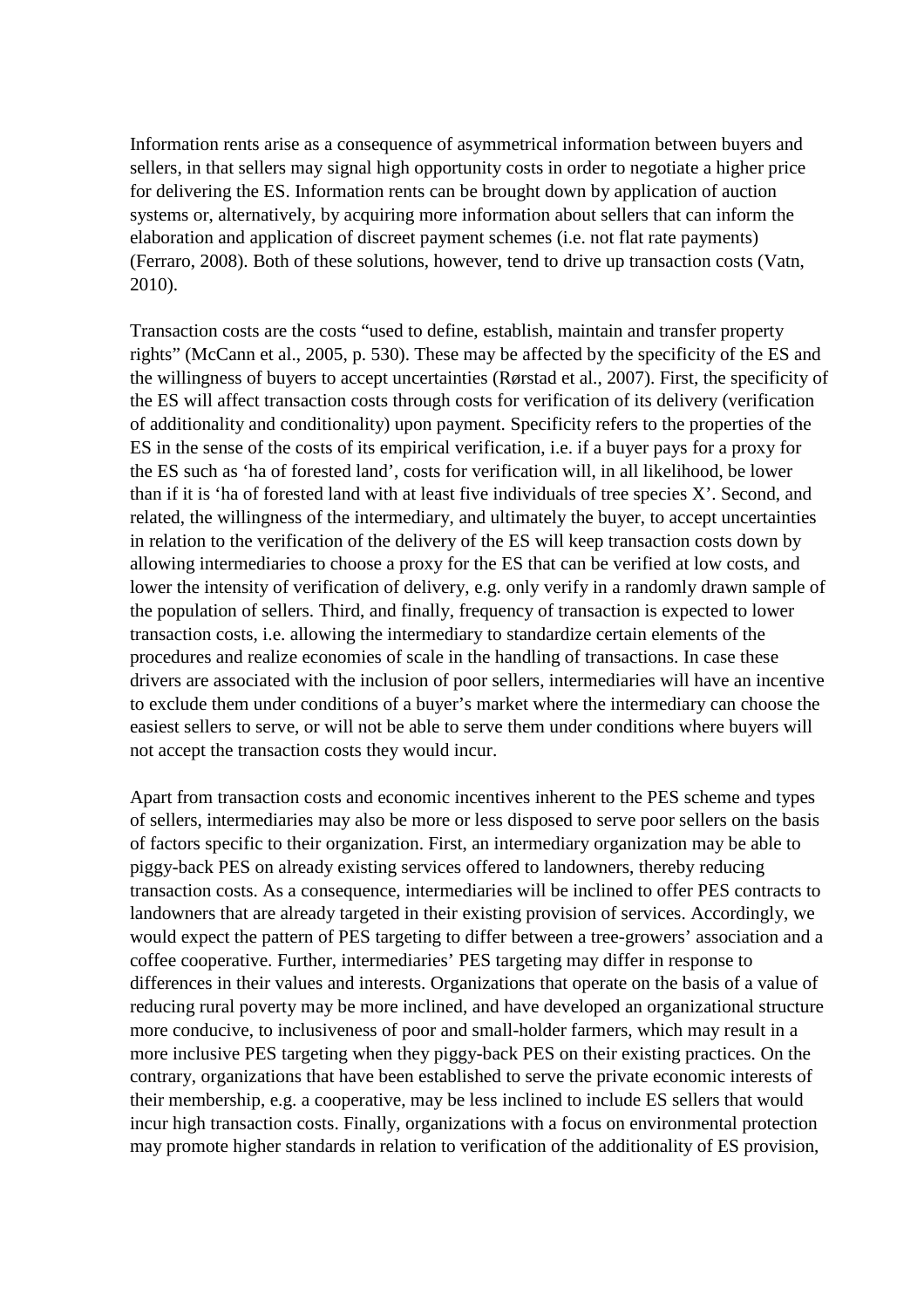Information rents arise as a consequence of asymmetrical information between buyers and sellers, in that sellers may signal high opportunity costs in order to negotiate a higher price for delivering the ES. Information rents can be brought down by application of auction systems or, alternatively, by acquiring more information about sellers that can inform the elaboration and application of discreet payment schemes (i.e. not flat rate payments) (Ferraro, 2008). Both of these solutions, however, tend to drive up transaction costs (Vatn, 2010).

Transaction costs are the costs "used to define, establish, maintain and transfer property rights" (McCann et al., 2005, p. 530). These may be affected by the specificity of the ES and the willingness of buyers to accept uncertainties (Rørstad et al., 2007). First, the specificity of the ES will affect transaction costs through costs for verification of its delivery (verification of additionality and conditionality) upon payment. Specificity refers to the properties of the ES in the sense of the costs of its empirical verification, i.e. if a buyer pays for a proxy for the ES such as 'ha of forested land', costs for verification will, in all likelihood, be lower than if it is 'ha of forested land with at least five individuals of tree species X'. Second, and related, the willingness of the intermediary, and ultimately the buyer, to accept uncertainties in relation to the verification of the delivery of the ES will keep transaction costs down by allowing intermediaries to choose a proxy for the ES that can be verified at low costs, and lower the intensity of verification of delivery, e.g. only verify in a randomly drawn sample of the population of sellers. Third, and finally, frequency of transaction is expected to lower transaction costs, i.e. allowing the intermediary to standardize certain elements of the procedures and realize economies of scale in the handling of transactions. In case these drivers are associated with the inclusion of poor sellers, intermediaries will have an incentive to exclude them under conditions of a buyer's market where the intermediary can choose the easiest sellers to serve, or will not be able to serve them under conditions where buyers will not accept the transaction costs they would incur.

Apart from transaction costs and economic incentives inherent to the PES scheme and types of sellers, intermediaries may also be more or less disposed to serve poor sellers on the basis of factors specific to their organization. First, an intermediary organization may be able to piggy-back PES on already existing services offered to landowners, thereby reducing transaction costs. As a consequence, intermediaries will be inclined to offer PES contracts to landowners that are already targeted in their existing provision of services. Accordingly, we would expect the pattern of PES targeting to differ between a tree-growers' association and a coffee cooperative. Further, intermediaries' PES targeting may differ in response to differences in their values and interests. Organizations that operate on the basis of a value of reducing rural poverty may be more inclined, and have developed an organizational structure more conducive, to inclusiveness of poor and small-holder farmers, which may result in a more inclusive PES targeting when they piggy-back PES on their existing practices. On the contrary, organizations that have been established to serve the private economic interests of their membership, e.g. a cooperative, may be less inclined to include ES sellers that would incur high transaction costs. Finally, organizations with a focus on environmental protection may promote higher standards in relation to verification of the additionality of ES provision,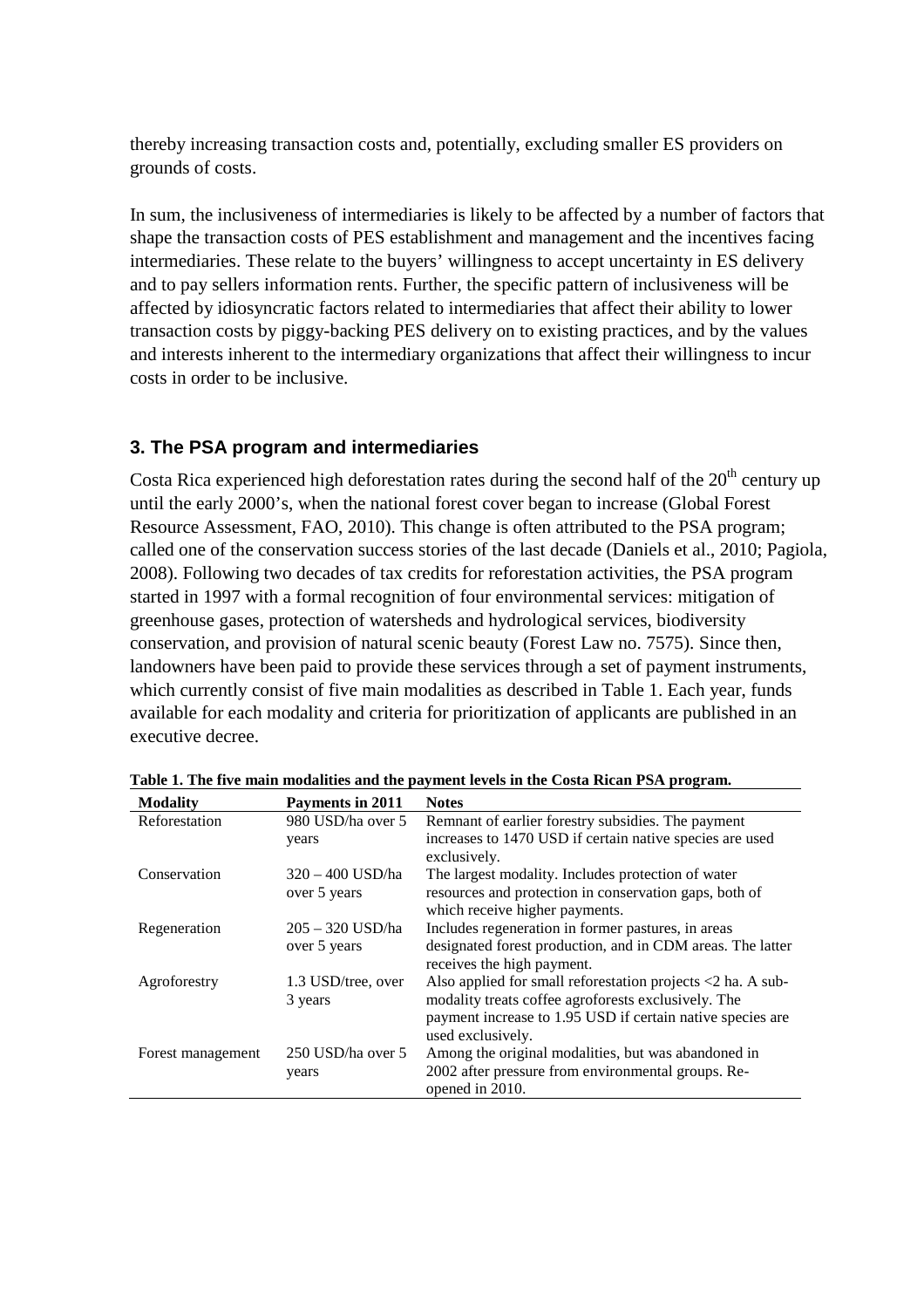thereby increasing transaction costs and, potentially, excluding smaller ES providers on grounds of costs.

In sum, the inclusiveness of intermediaries is likely to be affected by a number of factors that shape the transaction costs of PES establishment and management and the incentives facing intermediaries. These relate to the buyers' willingness to accept uncertainty in ES delivery and to pay sellers information rents. Further, the specific pattern of inclusiveness will be affected by idiosyncratic factors related to intermediaries that affect their ability to lower transaction costs by piggy-backing PES delivery on to existing practices, and by the values and interests inherent to the intermediary organizations that affect their willingness to incur costs in order to be inclusive.

# **3. The PSA program and intermediaries**

Costa Rica experienced high deforestation rates during the second half of the  $20<sup>th</sup>$  century up until the early 2000's, when the national forest cover began to increase (Global Forest Resource Assessment, FAO, 2010). This change is often attributed to the PSA program; called one of the conservation success stories of the last decade (Daniels et al., 2010; Pagiola, 2008). Following two decades of tax credits for reforestation activities, the PSA program started in 1997 with a formal recognition of four environmental services: mitigation of greenhouse gases, protection of watersheds and hydrological services, biodiversity conservation, and provision of natural scenic beauty (Forest Law no. 7575). Since then, landowners have been paid to provide these services through a set of payment instruments, which currently consist of five main modalities as described in Table 1. Each year, funds available for each modality and criteria for prioritization of applicants are published in an executive decree.

| <b>Modality</b>   | <b>Payments in 2011</b> | <b>Notes</b>                                                                             |
|-------------------|-------------------------|------------------------------------------------------------------------------------------|
| Reforestation     | 980 USD/ha over 5       | Remnant of earlier forestry subsidies. The payment                                       |
|                   | years                   | increases to 1470 USD if certain native species are used<br>exclusively.                 |
| Conservation      | $320 - 400$ USD/ha      | The largest modality. Includes protection of water                                       |
|                   | over 5 years            | resources and protection in conservation gaps, both of<br>which receive higher payments. |
| Regeneration      | $205 - 320$ USD/ha      | Includes regeneration in former pastures, in areas                                       |
|                   | over 5 years            | designated forest production, and in CDM areas. The latter<br>receives the high payment. |
| Agroforestry      | 1.3 USD/tree, over      | Also applied for small reforestation projects $\langle 2 \text{ ha. A sub-} \rangle$     |
|                   | 3 years                 | modality treats coffee agroforests exclusively. The                                      |
|                   |                         | payment increase to 1.95 USD if certain native species are                               |
|                   |                         | used exclusively.                                                                        |
| Forest management | 250 USD/ha over 5       | Among the original modalities, but was abandoned in                                      |
|                   | years                   | 2002 after pressure from environmental groups. Re-                                       |
|                   |                         | opened in 2010.                                                                          |

**Table 1. The five main modalities and the payment levels in the Costa Rican PSA program.**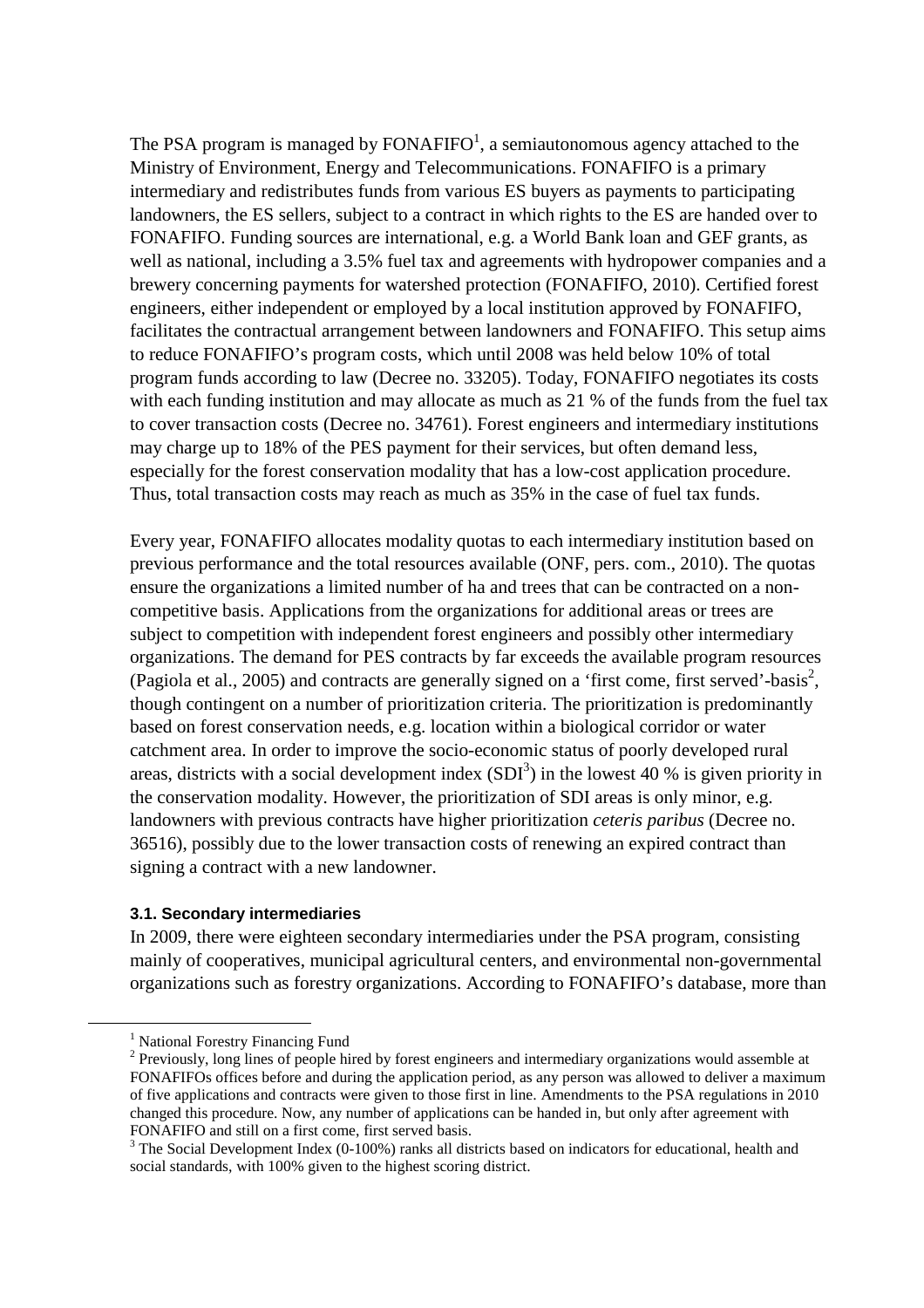The PSA program is managed by  $FONAFIFO<sup>1</sup>$ , a semiautonomous agency attached to the Ministry of Environment, Energy and Telecommunications. FONAFIFO is a primary intermediary and redistributes funds from various ES buyers as payments to participating landowners, the ES sellers, subject to a contract in which rights to the ES are handed over to FONAFIFO. Funding sources are international, e.g. a World Bank loan and GEF grants, as well as national, including a 3.5% fuel tax and agreements with hydropower companies and a brewery concerning payments for watershed protection (FONAFIFO, 2010). Certified forest engineers, either independent or employed by a local institution approved by FONAFIFO, facilitates the contractual arrangement between landowners and FONAFIFO. This setup aims to reduce FONAFIFO's program costs, which until 2008 was held below 10% of total program funds according to law (Decree no. 33205). Today, FONAFIFO negotiates its costs with each funding institution and may allocate as much as 21 % of the funds from the fuel tax to cover transaction costs (Decree no. 34761). Forest engineers and intermediary institutions may charge up to 18% of the PES payment for their services, but often demand less, especially for the forest conservation modality that has a low-cost application procedure. Thus, total transaction costs may reach as much as 35% in the case of fuel tax funds.

Every year, FONAFIFO allocates modality quotas to each intermediary institution based on previous performance and the total resources available (ONF, pers. com., 2010). The quotas ensure the organizations a limited number of ha and trees that can be contracted on a noncompetitive basis. Applications from the organizations for additional areas or trees are subject to competition with independent forest engineers and possibly other intermediary organizations. The demand for PES contracts by far exceeds the available program resources (Pagiola et al., 2005) and contracts are generally signed on a 'first come, first served'-basis<sup>2</sup>, though contingent on a number of prioritization criteria. The prioritization is predominantly based on forest conservation needs, e.g. location within a biological corridor or water catchment area. In order to improve the socio-economic status of poorly developed rural areas, districts with a social development index  $(SDI<sup>3</sup>)$  in the lowest 40 % is given priority in the conservation modality. However, the prioritization of SDI areas is only minor, e.g. landowners with previous contracts have higher prioritization *ceteris paribus* (Decree no. 36516), possibly due to the lower transaction costs of renewing an expired contract than signing a contract with a new landowner.

#### **3.1. Secondary intermediaries**

In 2009, there were eighteen secondary intermediaries under the PSA program, consisting mainly of cooperatives, municipal agricultural centers, and environmental non-governmental organizations such as forestry organizations. According to FONAFIFO's database, more than

 $\overline{a}$ 

<sup>&</sup>lt;sup>1</sup> National Forestry Financing Fund

 $2$  Previously, long lines of people hired by forest engineers and intermediary organizations would assemble at FONAFIFOs offices before and during the application period, as any person was allowed to deliver a maximum of five applications and contracts were given to those first in line. Amendments to the PSA regulations in 2010 changed this procedure. Now, any number of applications can be handed in, but only after agreement with FONAFIFO and still on a first come, first served basis.

 $3$  The Social Development Index (0-100%) ranks all districts based on indicators for educational, health and social standards, with 100% given to the highest scoring district.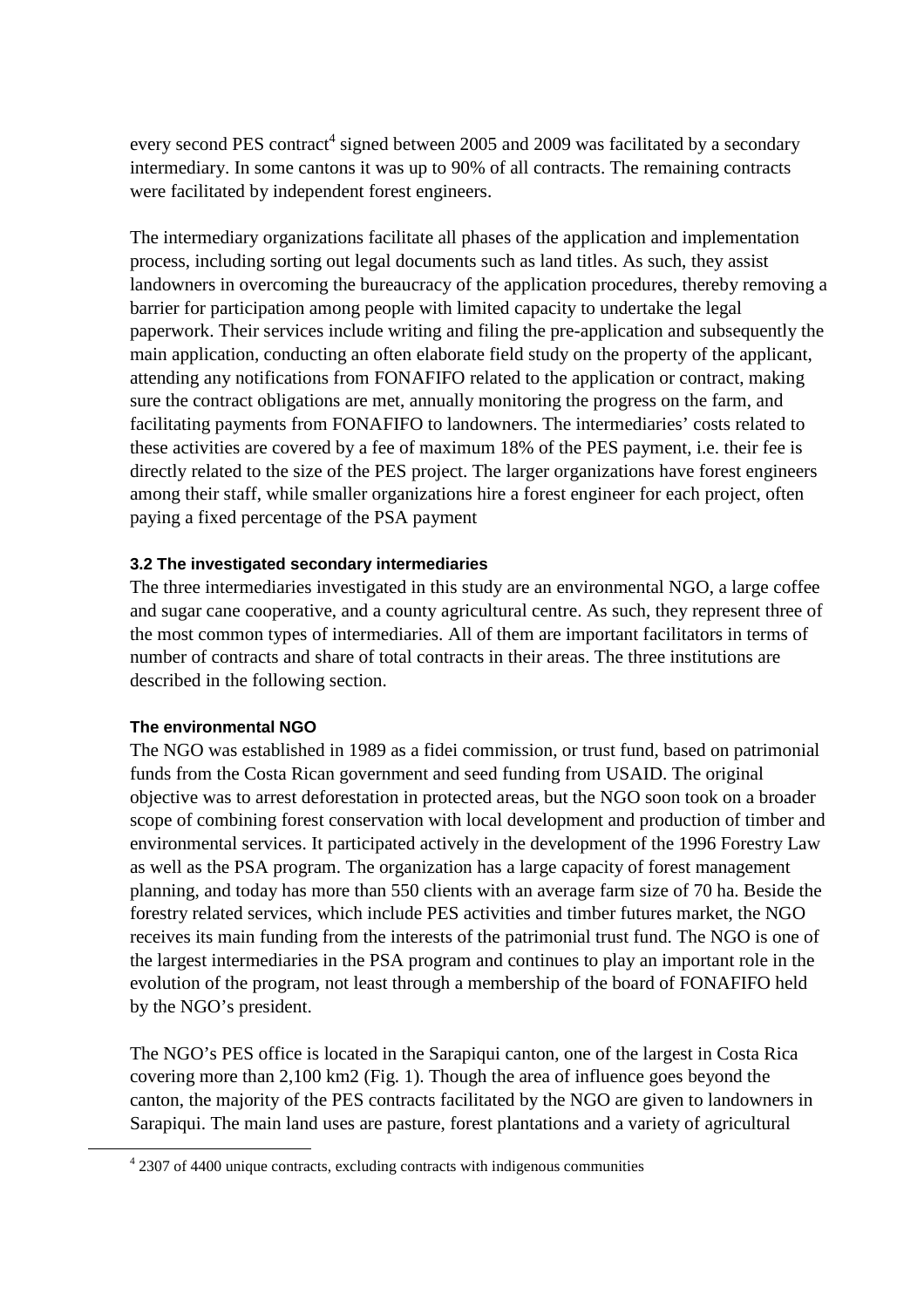every second PES contract<sup>4</sup> signed between 2005 and 2009 was facilitated by a secondary intermediary. In some cantons it was up to 90% of all contracts. The remaining contracts were facilitated by independent forest engineers.

The intermediary organizations facilitate all phases of the application and implementation process, including sorting out legal documents such as land titles. As such, they assist landowners in overcoming the bureaucracy of the application procedures, thereby removing a barrier for participation among people with limited capacity to undertake the legal paperwork. Their services include writing and filing the pre-application and subsequently the main application, conducting an often elaborate field study on the property of the applicant, attending any notifications from FONAFIFO related to the application or contract, making sure the contract obligations are met, annually monitoring the progress on the farm, and facilitating payments from FONAFIFO to landowners. The intermediaries' costs related to these activities are covered by a fee of maximum 18% of the PES payment, i.e. their fee is directly related to the size of the PES project. The larger organizations have forest engineers among their staff, while smaller organizations hire a forest engineer for each project, often paying a fixed percentage of the PSA payment

## **3.2 The investigated secondary intermediaries**

The three intermediaries investigated in this study are an environmental NGO, a large coffee and sugar cane cooperative, and a county agricultural centre. As such, they represent three of the most common types of intermediaries. All of them are important facilitators in terms of number of contracts and share of total contracts in their areas. The three institutions are described in the following section.

#### **The environmental NGO**

 $\overline{a}$ 

The NGO was established in 1989 as a fidei commission, or trust fund, based on patrimonial funds from the Costa Rican government and seed funding from USAID. The original objective was to arrest deforestation in protected areas, but the NGO soon took on a broader scope of combining forest conservation with local development and production of timber and environmental services. It participated actively in the development of the 1996 Forestry Law as well as the PSA program. The organization has a large capacity of forest management planning, and today has more than 550 clients with an average farm size of 70 ha. Beside the forestry related services, which include PES activities and timber futures market, the NGO receives its main funding from the interests of the patrimonial trust fund. The NGO is one of the largest intermediaries in the PSA program and continues to play an important role in the evolution of the program, not least through a membership of the board of FONAFIFO held by the NGO's president.

The NGO's PES office is located in the Sarapiqui canton, one of the largest in Costa Rica covering more than 2,100 km2 (Fig. 1). Though the area of influence goes beyond the canton, the majority of the PES contracts facilitated by the NGO are given to landowners in Sarapiqui. The main land uses are pasture, forest plantations and a variety of agricultural

<sup>&</sup>lt;sup>4</sup> 2307 of 4400 unique contracts, excluding contracts with indigenous communities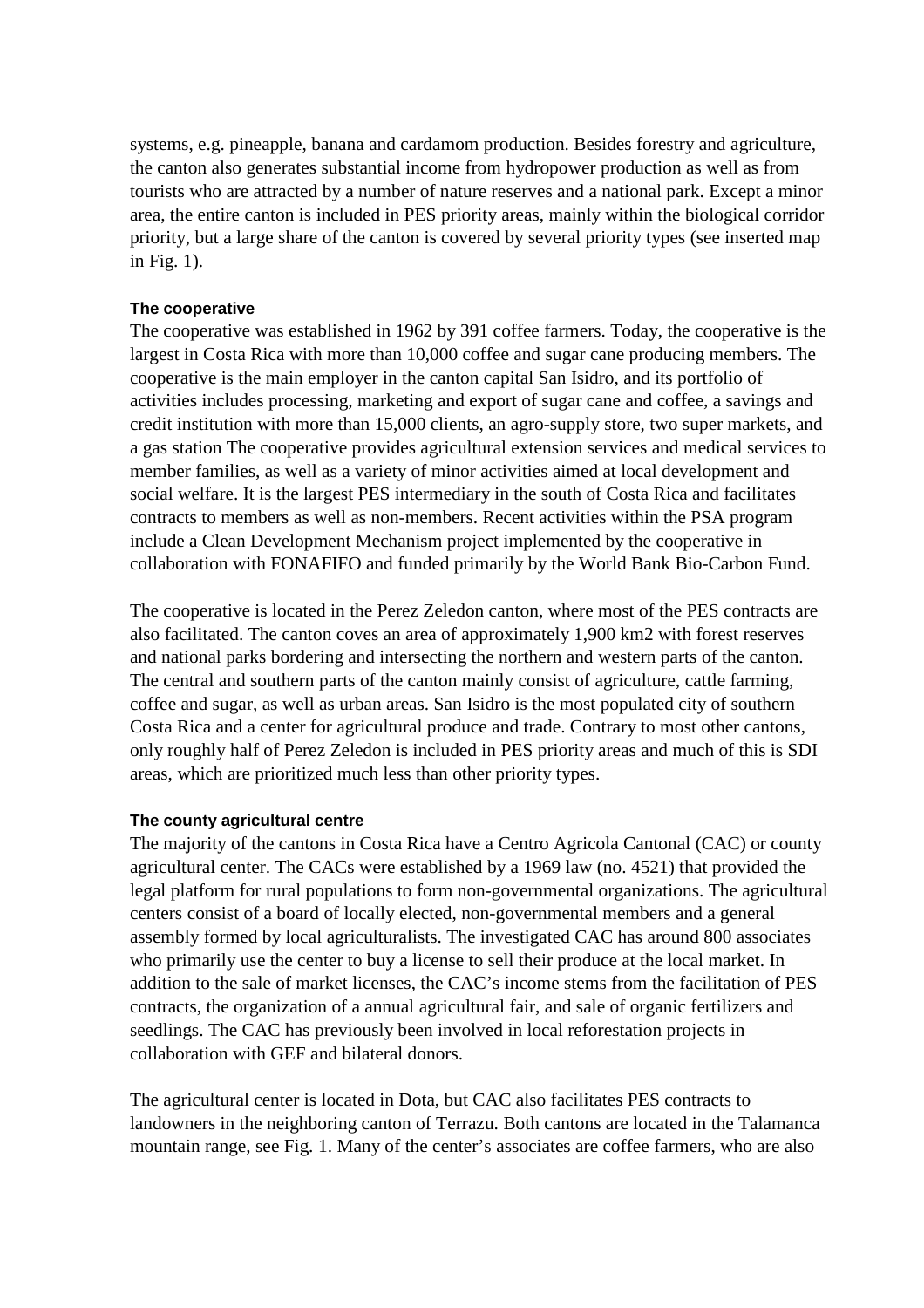systems, e.g. pineapple, banana and cardamom production. Besides forestry and agriculture, the canton also generates substantial income from hydropower production as well as from tourists who are attracted by a number of nature reserves and a national park. Except a minor area, the entire canton is included in PES priority areas, mainly within the biological corridor priority, but a large share of the canton is covered by several priority types (see inserted map in Fig. 1).

## **The cooperative**

The cooperative was established in 1962 by 391 coffee farmers. Today, the cooperative is the largest in Costa Rica with more than 10,000 coffee and sugar cane producing members. The cooperative is the main employer in the canton capital San Isidro, and its portfolio of activities includes processing, marketing and export of sugar cane and coffee, a savings and credit institution with more than 15,000 clients, an agro-supply store, two super markets, and a gas station The cooperative provides agricultural extension services and medical services to member families, as well as a variety of minor activities aimed at local development and social welfare. It is the largest PES intermediary in the south of Costa Rica and facilitates contracts to members as well as non-members. Recent activities within the PSA program include a Clean Development Mechanism project implemented by the cooperative in collaboration with FONAFIFO and funded primarily by the World Bank Bio-Carbon Fund.

The cooperative is located in the Perez Zeledon canton, where most of the PES contracts are also facilitated. The canton coves an area of approximately 1,900 km2 with forest reserves and national parks bordering and intersecting the northern and western parts of the canton. The central and southern parts of the canton mainly consist of agriculture, cattle farming, coffee and sugar, as well as urban areas. San Isidro is the most populated city of southern Costa Rica and a center for agricultural produce and trade. Contrary to most other cantons, only roughly half of Perez Zeledon is included in PES priority areas and much of this is SDI areas, which are prioritized much less than other priority types.

## **The county agricultural centre**

The majority of the cantons in Costa Rica have a Centro Agricola Cantonal (CAC) or county agricultural center. The CACs were established by a 1969 law (no. 4521) that provided the legal platform for rural populations to form non-governmental organizations. The agricultural centers consist of a board of locally elected, non-governmental members and a general assembly formed by local agriculturalists. The investigated CAC has around 800 associates who primarily use the center to buy a license to sell their produce at the local market. In addition to the sale of market licenses, the CAC's income stems from the facilitation of PES contracts, the organization of a annual agricultural fair, and sale of organic fertilizers and seedlings. The CAC has previously been involved in local reforestation projects in collaboration with GEF and bilateral donors.

The agricultural center is located in Dota, but CAC also facilitates PES contracts to landowners in the neighboring canton of Terrazu. Both cantons are located in the Talamanca mountain range, see Fig. 1. Many of the center's associates are coffee farmers, who are also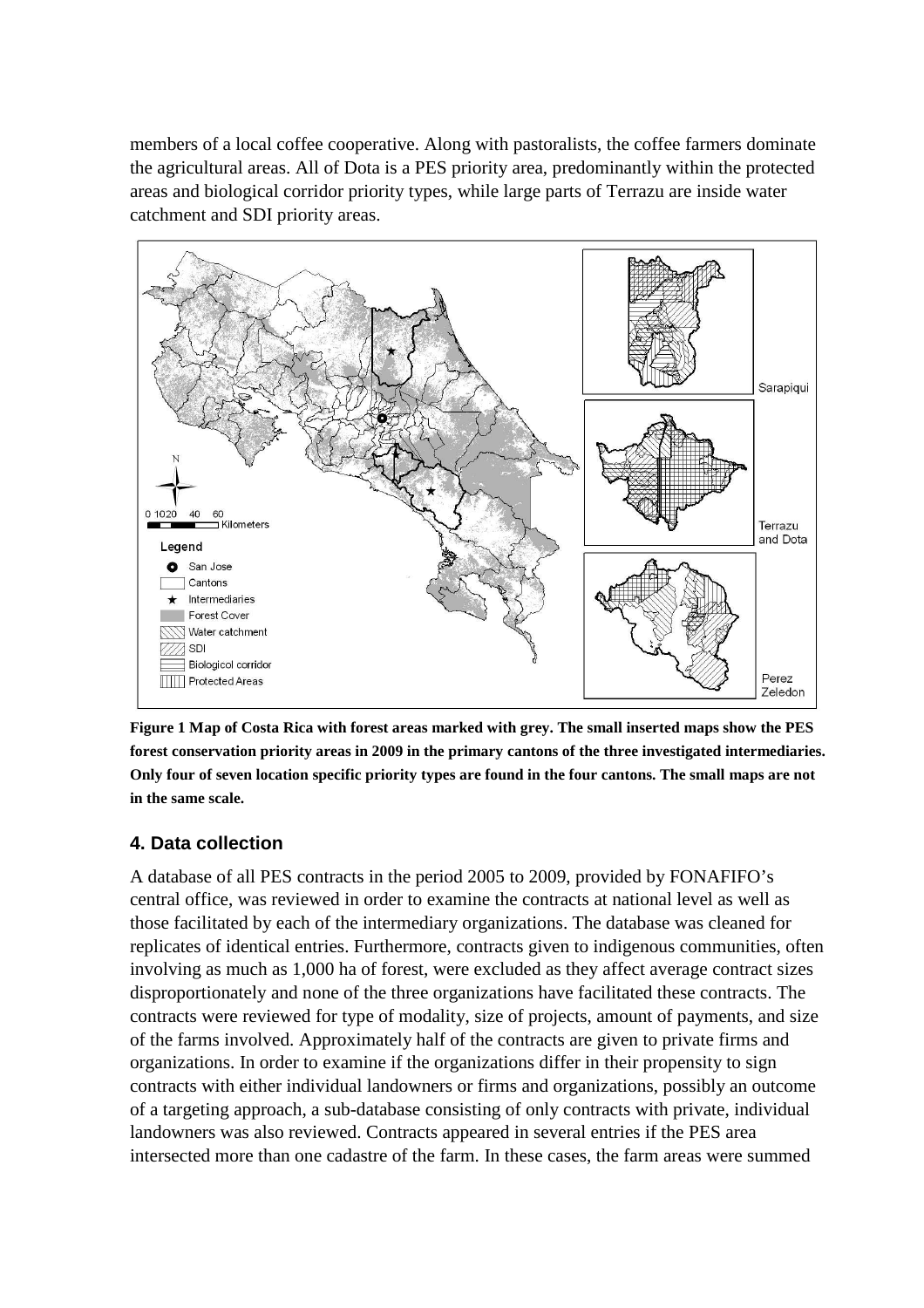members of a local coffee cooperative. Along with pastoralists, the coffee farmers dominate the agricultural areas. All of Dota is a PES priority area, predominantly within the protected areas and biological corridor priority types, while large parts of Terrazu are inside water catchment and SDI priority areas.



**Figure 1 Map of Costa Rica with forest areas marked with grey. The small inserted maps show the PES forest conservation priority areas in 2009 in the primary cantons of the three investigated intermediaries. Only four of seven location specific priority types are found in the four cantons. The small maps are not in the same scale.** 

## **4. Data collection**

A database of all PES contracts in the period 2005 to 2009, provided by FONAFIFO's central office, was reviewed in order to examine the contracts at national level as well as those facilitated by each of the intermediary organizations. The database was cleaned for replicates of identical entries. Furthermore, contracts given to indigenous communities, often involving as much as 1,000 ha of forest, were excluded as they affect average contract sizes disproportionately and none of the three organizations have facilitated these contracts. The contracts were reviewed for type of modality, size of projects, amount of payments, and size of the farms involved. Approximately half of the contracts are given to private firms and organizations. In order to examine if the organizations differ in their propensity to sign contracts with either individual landowners or firms and organizations, possibly an outcome of a targeting approach, a sub-database consisting of only contracts with private, individual landowners was also reviewed. Contracts appeared in several entries if the PES area intersected more than one cadastre of the farm. In these cases, the farm areas were summed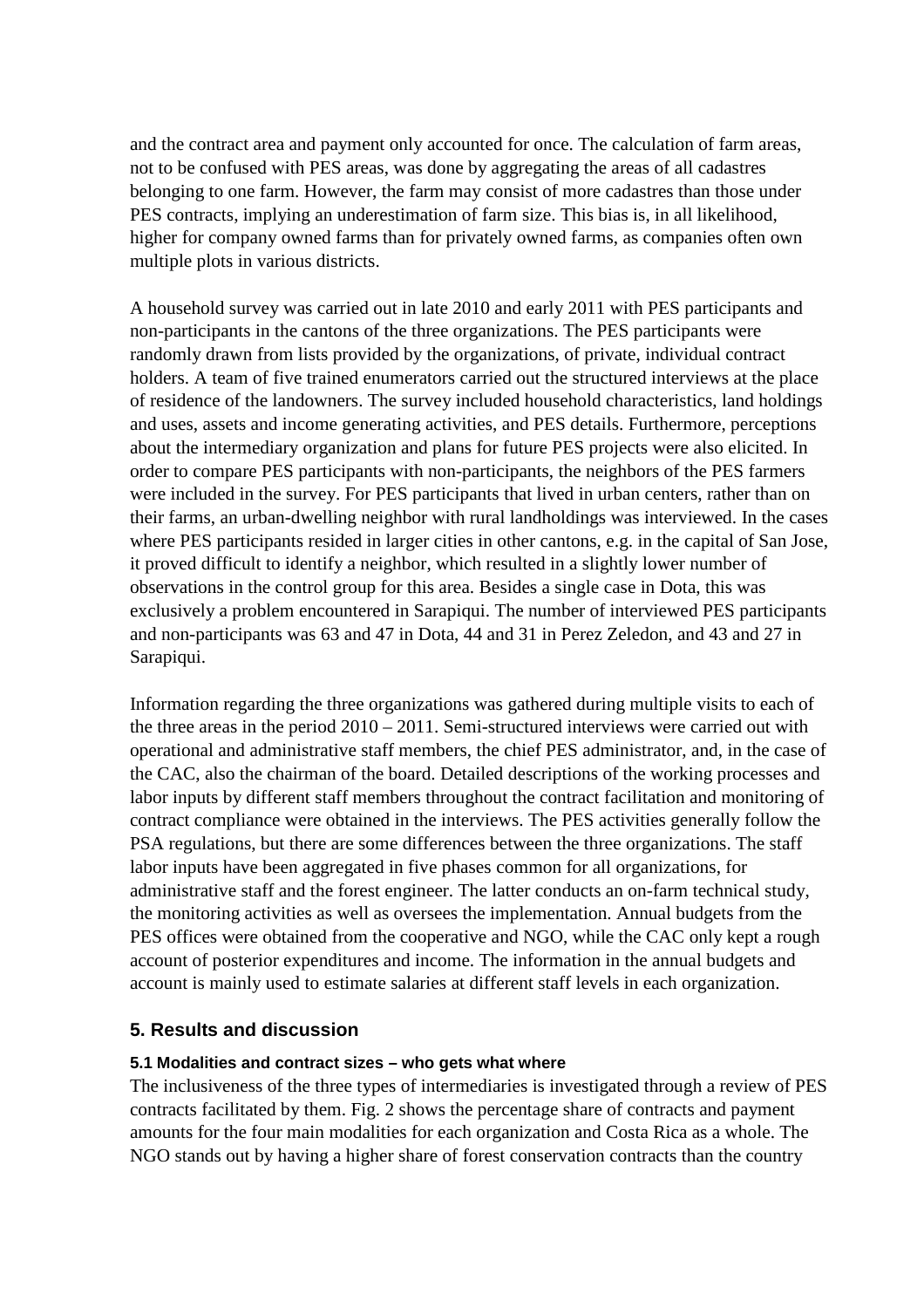and the contract area and payment only accounted for once. The calculation of farm areas, not to be confused with PES areas, was done by aggregating the areas of all cadastres belonging to one farm. However, the farm may consist of more cadastres than those under PES contracts, implying an underestimation of farm size. This bias is, in all likelihood, higher for company owned farms than for privately owned farms, as companies often own multiple plots in various districts.

A household survey was carried out in late 2010 and early 2011 with PES participants and non-participants in the cantons of the three organizations. The PES participants were randomly drawn from lists provided by the organizations, of private, individual contract holders. A team of five trained enumerators carried out the structured interviews at the place of residence of the landowners. The survey included household characteristics, land holdings and uses, assets and income generating activities, and PES details. Furthermore, perceptions about the intermediary organization and plans for future PES projects were also elicited. In order to compare PES participants with non-participants, the neighbors of the PES farmers were included in the survey. For PES participants that lived in urban centers, rather than on their farms, an urban-dwelling neighbor with rural landholdings was interviewed. In the cases where PES participants resided in larger cities in other cantons, e.g. in the capital of San Jose, it proved difficult to identify a neighbor, which resulted in a slightly lower number of observations in the control group for this area. Besides a single case in Dota, this was exclusively a problem encountered in Sarapiqui. The number of interviewed PES participants and non-participants was 63 and 47 in Dota, 44 and 31 in Perez Zeledon, and 43 and 27 in Sarapiqui.

Information regarding the three organizations was gathered during multiple visits to each of the three areas in the period 2010 – 2011. Semi-structured interviews were carried out with operational and administrative staff members, the chief PES administrator, and, in the case of the CAC, also the chairman of the board. Detailed descriptions of the working processes and labor inputs by different staff members throughout the contract facilitation and monitoring of contract compliance were obtained in the interviews. The PES activities generally follow the PSA regulations, but there are some differences between the three organizations. The staff labor inputs have been aggregated in five phases common for all organizations, for administrative staff and the forest engineer. The latter conducts an on-farm technical study, the monitoring activities as well as oversees the implementation. Annual budgets from the PES offices were obtained from the cooperative and NGO, while the CAC only kept a rough account of posterior expenditures and income. The information in the annual budgets and account is mainly used to estimate salaries at different staff levels in each organization.

# **5. Results and discussion**

## **5.1 Modalities and contract sizes – who gets what where**

The inclusiveness of the three types of intermediaries is investigated through a review of PES contracts facilitated by them. Fig. 2 shows the percentage share of contracts and payment amounts for the four main modalities for each organization and Costa Rica as a whole. The NGO stands out by having a higher share of forest conservation contracts than the country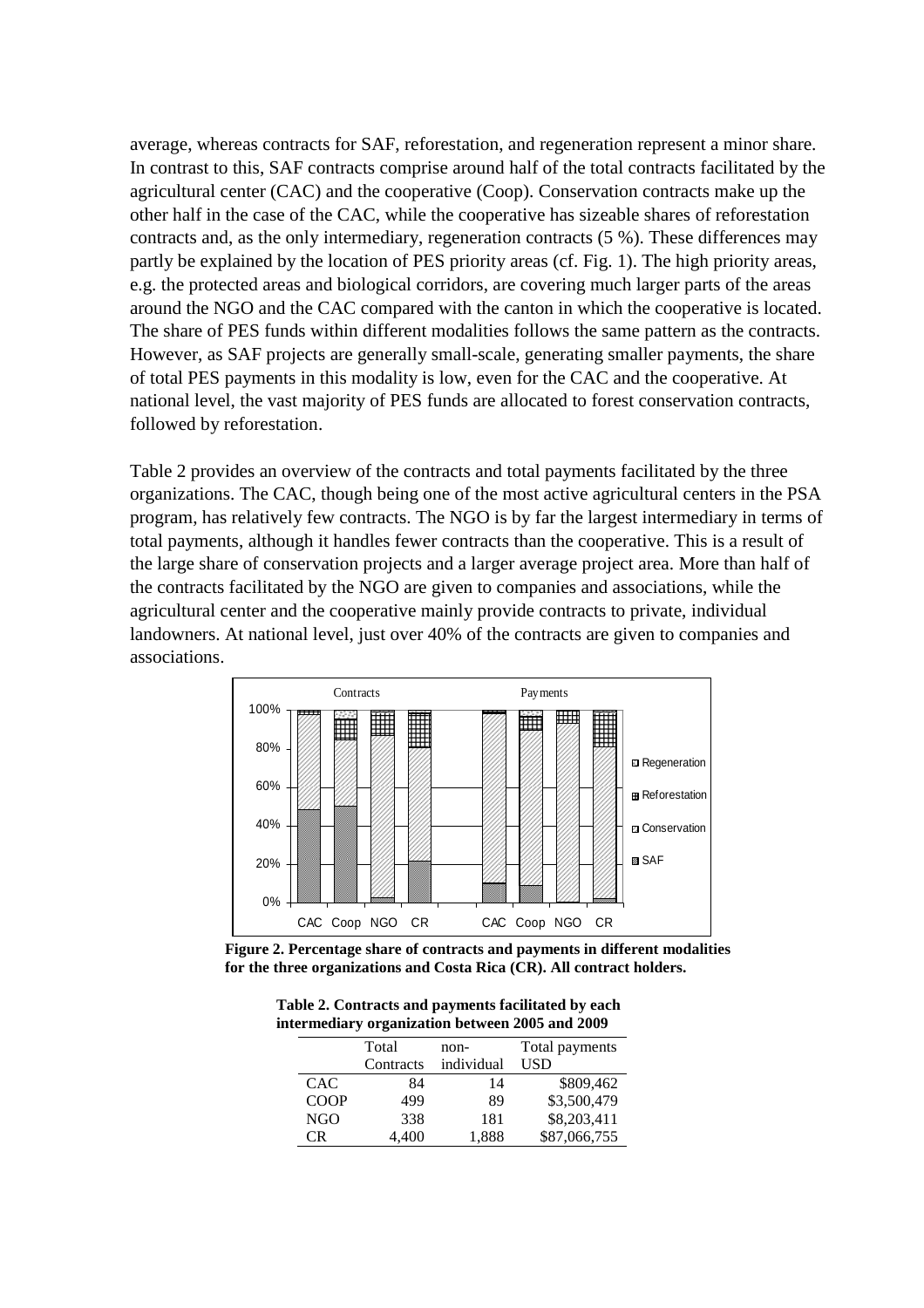average, whereas contracts for SAF, reforestation, and regeneration represent a minor share. In contrast to this, SAF contracts comprise around half of the total contracts facilitated by the agricultural center (CAC) and the cooperative (Coop). Conservation contracts make up the other half in the case of the CAC, while the cooperative has sizeable shares of reforestation contracts and, as the only intermediary, regeneration contracts (5 %). These differences may partly be explained by the location of PES priority areas (cf. Fig. 1). The high priority areas, e.g. the protected areas and biological corridors, are covering much larger parts of the areas around the NGO and the CAC compared with the canton in which the cooperative is located. The share of PES funds within different modalities follows the same pattern as the contracts. However, as SAF projects are generally small-scale, generating smaller payments, the share of total PES payments in this modality is low, even for the CAC and the cooperative. At national level, the vast majority of PES funds are allocated to forest conservation contracts, followed by reforestation.

Table 2 provides an overview of the contracts and total payments facilitated by the three organizations. The CAC, though being one of the most active agricultural centers in the PSA program, has relatively few contracts. The NGO is by far the largest intermediary in terms of total payments, although it handles fewer contracts than the cooperative. This is a result of the large share of conservation projects and a larger average project area. More than half of the contracts facilitated by the NGO are given to companies and associations, while the agricultural center and the cooperative mainly provide contracts to private, individual landowners. At national level, just over 40% of the contracts are given to companies and associations.



**Figure 2. Percentage share of contracts and payments in different modalities for the three organizations and Costa Rica (CR). All contract holders.** 

**Table 2. Contracts and payments facilitated by each intermediary organization between 2005 and 2009** 

|      | Total     | non-       | Total payments |  |  |
|------|-----------|------------|----------------|--|--|
|      | Contracts | individual | USD            |  |  |
| CAC  | 84        | 14         | \$809,462      |  |  |
| COOP | 499       | 89         | \$3,500,479    |  |  |
| NGO  | 338       | 181        | \$8,203,411    |  |  |
| СR   | 4.400     | 1,888      | \$87,066,755   |  |  |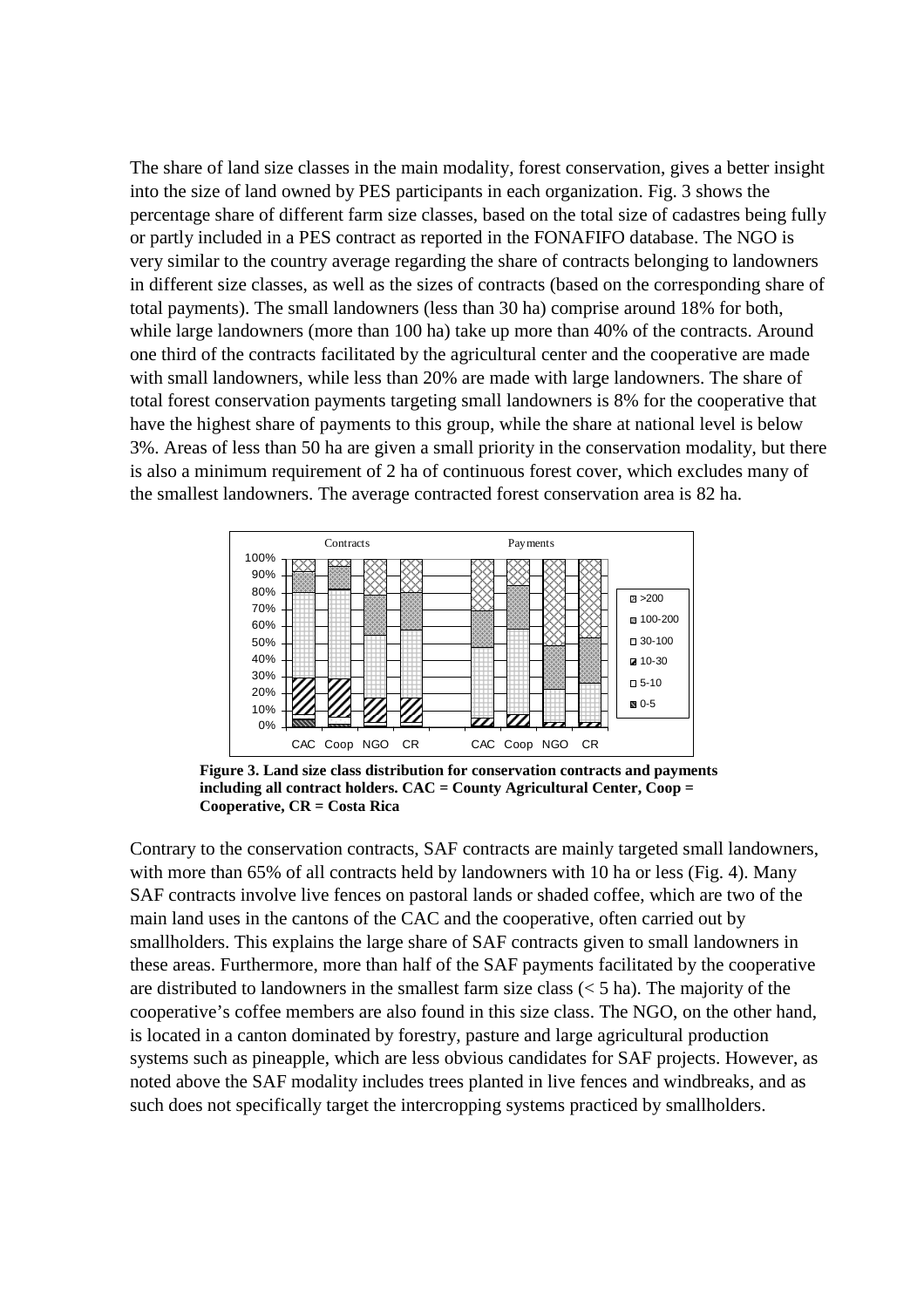The share of land size classes in the main modality, forest conservation, gives a better insight into the size of land owned by PES participants in each organization. Fig. 3 shows the percentage share of different farm size classes, based on the total size of cadastres being fully or partly included in a PES contract as reported in the FONAFIFO database. The NGO is very similar to the country average regarding the share of contracts belonging to landowners in different size classes, as well as the sizes of contracts (based on the corresponding share of total payments). The small landowners (less than 30 ha) comprise around 18% for both, while large landowners (more than 100 ha) take up more than 40% of the contracts. Around one third of the contracts facilitated by the agricultural center and the cooperative are made with small landowners, while less than 20% are made with large landowners. The share of total forest conservation payments targeting small landowners is 8% for the cooperative that have the highest share of payments to this group, while the share at national level is below 3%. Areas of less than 50 ha are given a small priority in the conservation modality, but there is also a minimum requirement of 2 ha of continuous forest cover, which excludes many of the smallest landowners. The average contracted forest conservation area is 82 ha.



**Figure 3. Land size class distribution for conservation contracts and payments including all contract holders. CAC = County Agricultural Center, Coop = Cooperative, CR = Costa Rica** 

Contrary to the conservation contracts, SAF contracts are mainly targeted small landowners, with more than 65% of all contracts held by landowners with 10 ha or less (Fig. 4). Many SAF contracts involve live fences on pastoral lands or shaded coffee, which are two of the main land uses in the cantons of the CAC and the cooperative, often carried out by smallholders. This explains the large share of SAF contracts given to small landowners in these areas. Furthermore, more than half of the SAF payments facilitated by the cooperative are distributed to landowners in the smallest farm size class  $(< 5 \text{ ha})$ . The majority of the cooperative's coffee members are also found in this size class. The NGO, on the other hand, is located in a canton dominated by forestry, pasture and large agricultural production systems such as pineapple, which are less obvious candidates for SAF projects. However, as noted above the SAF modality includes trees planted in live fences and windbreaks, and as such does not specifically target the intercropping systems practiced by smallholders.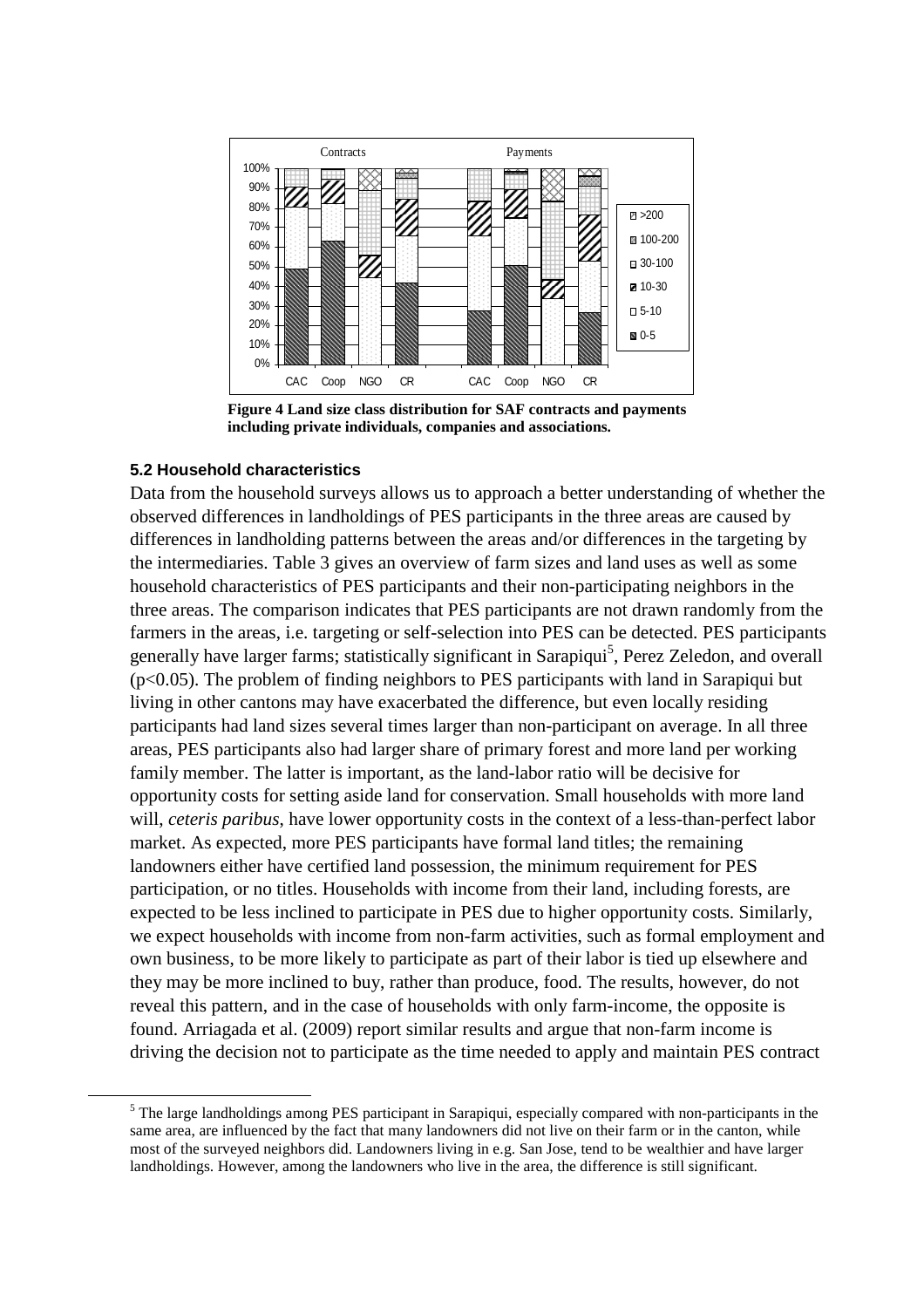

**Figure 4 Land size class distribution for SAF contracts and payments including private individuals, companies and associations.** 

#### **5.2 Household characteristics**

 $\overline{a}$ 

Data from the household surveys allows us to approach a better understanding of whether the observed differences in landholdings of PES participants in the three areas are caused by differences in landholding patterns between the areas and/or differences in the targeting by the intermediaries. Table 3 gives an overview of farm sizes and land uses as well as some household characteristics of PES participants and their non-participating neighbors in the three areas. The comparison indicates that PES participants are not drawn randomly from the farmers in the areas, i.e. targeting or self-selection into PES can be detected. PES participants generally have larger farms; statistically significant in Sarapiqui<sup>5</sup>, Perez Zeledon, and overall (p<0.05). The problem of finding neighbors to PES participants with land in Sarapiqui but living in other cantons may have exacerbated the difference, but even locally residing participants had land sizes several times larger than non-participant on average. In all three areas, PES participants also had larger share of primary forest and more land per working family member. The latter is important, as the land-labor ratio will be decisive for opportunity costs for setting aside land for conservation. Small households with more land will, *ceteris paribus*, have lower opportunity costs in the context of a less-than-perfect labor market. As expected, more PES participants have formal land titles; the remaining landowners either have certified land possession, the minimum requirement for PES participation, or no titles. Households with income from their land, including forests, are expected to be less inclined to participate in PES due to higher opportunity costs. Similarly, we expect households with income from non-farm activities, such as formal employment and own business, to be more likely to participate as part of their labor is tied up elsewhere and they may be more inclined to buy, rather than produce, food. The results, however, do not reveal this pattern, and in the case of households with only farm-income, the opposite is found. Arriagada et al. (2009) report similar results and argue that non-farm income is driving the decision not to participate as the time needed to apply and maintain PES contract

<sup>&</sup>lt;sup>5</sup> The large landholdings among PES participant in Sarapiqui, especially compared with non-participants in the same area, are influenced by the fact that many landowners did not live on their farm or in the canton, while most of the surveyed neighbors did. Landowners living in e.g. San Jose, tend to be wealthier and have larger landholdings. However, among the landowners who live in the area, the difference is still significant.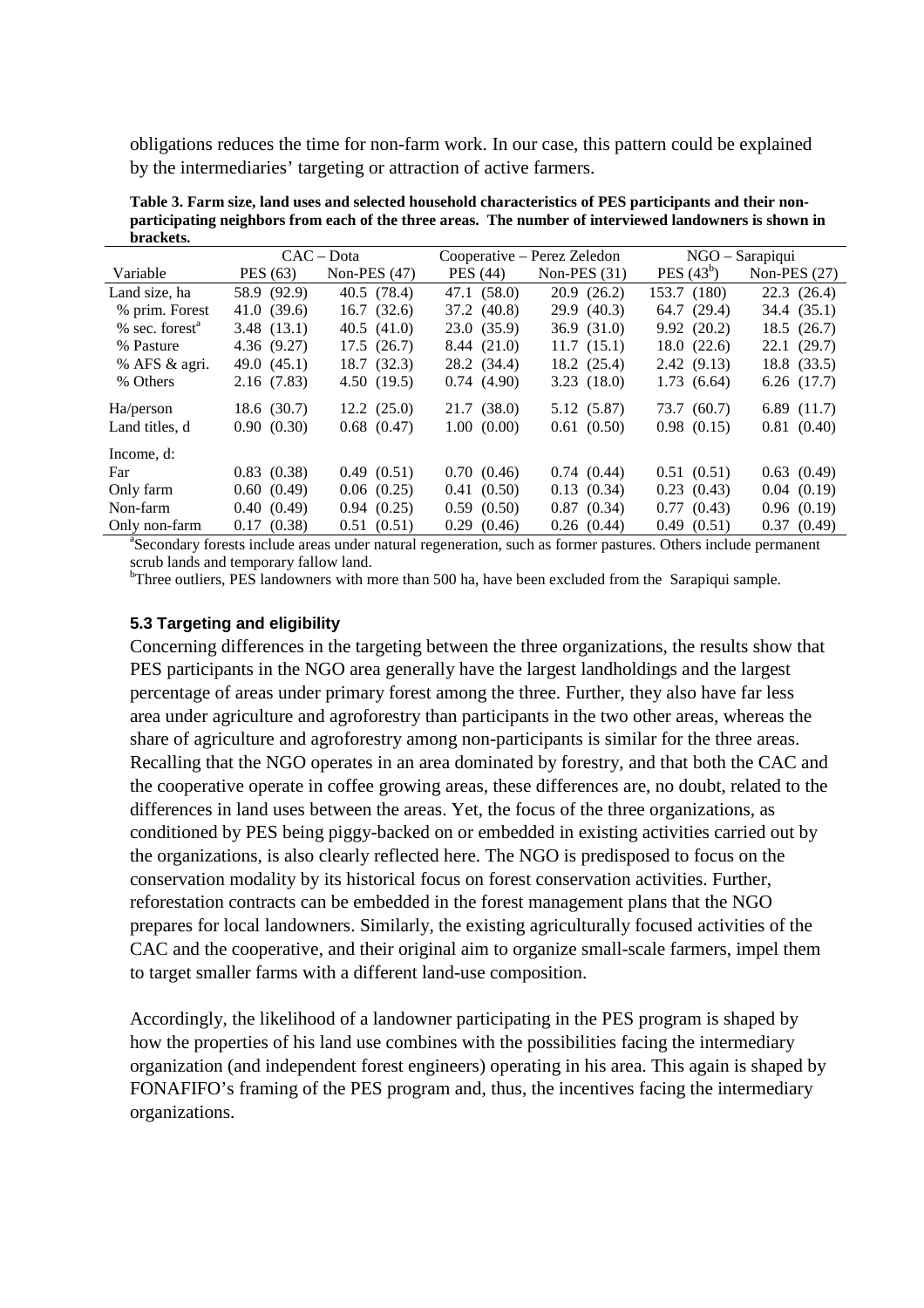obligations reduces the time for non-farm work. In our case, this pattern could be explained by the intermediaries' targeting or attraction of active farmers.

**Table 3. Farm size, land uses and selected household characteristics of PES participants and their nonparticipating neighbors from each of the three areas. The number of interviewed landowners is shown in brackets.**  CAC – Dota Cooperative – Perez Zeledon NGO – Sarapiqui

|                                    |               | CAC – Dota      |                 | Cooperative – Perez Zeledon |             | $NGO - Sarapiqui$ |  |
|------------------------------------|---------------|-----------------|-----------------|-----------------------------|-------------|-------------------|--|
| Variable                           | PES (63)      | Non-PES $(47)$  | <b>PES</b> (44) | Non-PES $(31)$              | $PES(43^b)$ | Non-PES $(27)$    |  |
| Land size, ha                      | 58.9 (92.9)   | 40.5 (78.4)     | 47.1 (58.0)     | 20.9(26.2)                  | 153.7 (180) | 22.3(26.4)        |  |
| % prim. Forest                     | 41.0(39.6)    | 16.7(32.6)      | 37.2 (40.8)     | 29.9(40.3)                  | 64.7 (29.4) | 34.4 (35.1)       |  |
| $%$ sec. forest <sup>a</sup>       | 3.48(13.1)    | 40.5(41.0)      | 23.0 (35.9)     | 36.9 (31.0)                 | 9.92(20.2)  | 18.5(26.7)        |  |
| % Pasture                          | 4.36(9.27)    | 17.5(26.7)      | 8.44 (21.0)     | 11.7(15.1)                  | 18.0(22.6)  | 22.1 (29.7)       |  |
| % AFS & agri.                      | 49.0 $(45.1)$ | 18.7(32.3)      | 28.2 (34.4)     | 18.2(25.4)                  | 2.42(9.13)  | 18.8 (33.5)       |  |
| % Others                           | 2.16(7.83)    | 4.50(19.5)      | 0.74(4.90)      | 3.23(18.0)                  | 1.73(6.64)  | 6.26(17.7)        |  |
| Ha/person                          | 18.6 (30.7)   | 12.2(25.0)      | 21.7 (38.0)     | 5.12 (5.87)                 | 73.7 (60.7) | 6.89 $(11.7)$     |  |
| Land titles, d                     | 0.90(0.30)    | $0.68$ $(0.47)$ | 1.00(0.00)      | 0.61(0.50)                  | 0.98(0.15)  | 0.81(0.40)        |  |
| Income, d:                         |               |                 |                 |                             |             |                   |  |
| Far                                | 0.83(0.38)    | 0.49(0.51)      | 0.70(0.46)      | 0.74(0.44)                  | 0.51(0.51)  | 0.63(0.49)        |  |
| Only farm                          | 0.60(0.49)    | 0.06(0.25)      | 0.41(0.50)      | 0.13(0.34)                  | 0.23(0.43)  | 0.04(0.19)        |  |
| Non-farm                           | 0.40(0.49)    | 0.94(0.25)      | 0.59(0.50)      | 0.87(0.34)                  | 0.77(0.43)  | 0.96(0.19)        |  |
| Only non-farm                      | 0.17(0.38)    | 0.51(0.51)      | 0.29(0.46)      | 0.26(0.44)                  | 0.49(0.51)  | 0.37(0.49)        |  |
| $\sim$ $\sim$ $\sim$ $\sim$ $\sim$ |               |                 |                 |                             |             |                   |  |

<sup>a</sup>Secondary forests include areas under natural regeneration, such as former pastures. Others include permanent scrub lands and temporary fallow land.

<sup>b</sup>Three outliers, PES landowners with more than 500 ha, have been excluded from the Sarapiqui sample.

#### **5.3 Targeting and eligibility**

Concerning differences in the targeting between the three organizations, the results show that PES participants in the NGO area generally have the largest landholdings and the largest percentage of areas under primary forest among the three. Further, they also have far less area under agriculture and agroforestry than participants in the two other areas, whereas the share of agriculture and agroforestry among non-participants is similar for the three areas. Recalling that the NGO operates in an area dominated by forestry, and that both the CAC and the cooperative operate in coffee growing areas, these differences are, no doubt, related to the differences in land uses between the areas. Yet, the focus of the three organizations, as conditioned by PES being piggy-backed on or embedded in existing activities carried out by the organizations, is also clearly reflected here. The NGO is predisposed to focus on the conservation modality by its historical focus on forest conservation activities. Further, reforestation contracts can be embedded in the forest management plans that the NGO prepares for local landowners. Similarly, the existing agriculturally focused activities of the CAC and the cooperative, and their original aim to organize small-scale farmers, impel them to target smaller farms with a different land-use composition.

Accordingly, the likelihood of a landowner participating in the PES program is shaped by how the properties of his land use combines with the possibilities facing the intermediary organization (and independent forest engineers) operating in his area. This again is shaped by FONAFIFO's framing of the PES program and, thus, the incentives facing the intermediary organizations.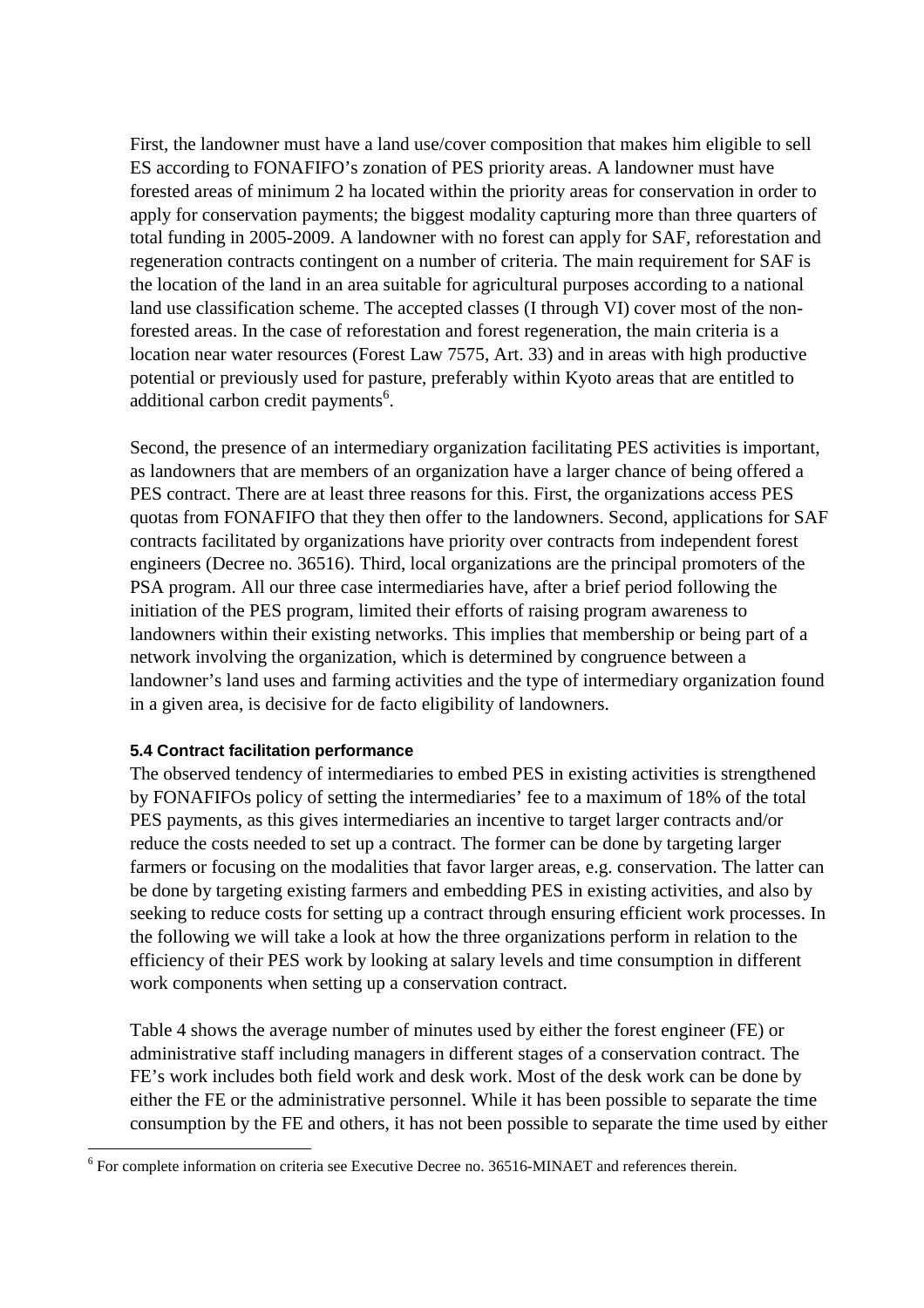First, the landowner must have a land use/cover composition that makes him eligible to sell ES according to FONAFIFO's zonation of PES priority areas. A landowner must have forested areas of minimum 2 ha located within the priority areas for conservation in order to apply for conservation payments; the biggest modality capturing more than three quarters of total funding in 2005-2009. A landowner with no forest can apply for SAF, reforestation and regeneration contracts contingent on a number of criteria. The main requirement for SAF is the location of the land in an area suitable for agricultural purposes according to a national land use classification scheme. The accepted classes (I through VI) cover most of the nonforested areas. In the case of reforestation and forest regeneration, the main criteria is a location near water resources (Forest Law 7575, Art. 33) and in areas with high productive potential or previously used for pasture, preferably within Kyoto areas that are entitled to additional carbon credit payments<sup>6</sup>.

Second, the presence of an intermediary organization facilitating PES activities is important, as landowners that are members of an organization have a larger chance of being offered a PES contract. There are at least three reasons for this. First, the organizations access PES quotas from FONAFIFO that they then offer to the landowners. Second, applications for SAF contracts facilitated by organizations have priority over contracts from independent forest engineers (Decree no. 36516). Third, local organizations are the principal promoters of the PSA program. All our three case intermediaries have, after a brief period following the initiation of the PES program, limited their efforts of raising program awareness to landowners within their existing networks. This implies that membership or being part of a network involving the organization, which is determined by congruence between a landowner's land uses and farming activities and the type of intermediary organization found in a given area, is decisive for de facto eligibility of landowners.

#### **5.4 Contract facilitation performance**

 $\overline{a}$ 

The observed tendency of intermediaries to embed PES in existing activities is strengthened by FONAFIFOs policy of setting the intermediaries' fee to a maximum of 18% of the total PES payments, as this gives intermediaries an incentive to target larger contracts and/or reduce the costs needed to set up a contract. The former can be done by targeting larger farmers or focusing on the modalities that favor larger areas, e.g. conservation. The latter can be done by targeting existing farmers and embedding PES in existing activities, and also by seeking to reduce costs for setting up a contract through ensuring efficient work processes. In the following we will take a look at how the three organizations perform in relation to the efficiency of their PES work by looking at salary levels and time consumption in different work components when setting up a conservation contract.

Table 4 shows the average number of minutes used by either the forest engineer (FE) or administrative staff including managers in different stages of a conservation contract. The FE's work includes both field work and desk work. Most of the desk work can be done by either the FE or the administrative personnel. While it has been possible to separate the time consumption by the FE and others, it has not been possible to separate the time used by either

<sup>&</sup>lt;sup>6</sup> For complete information on criteria see Executive Decree no. 36516-MINAET and references therein.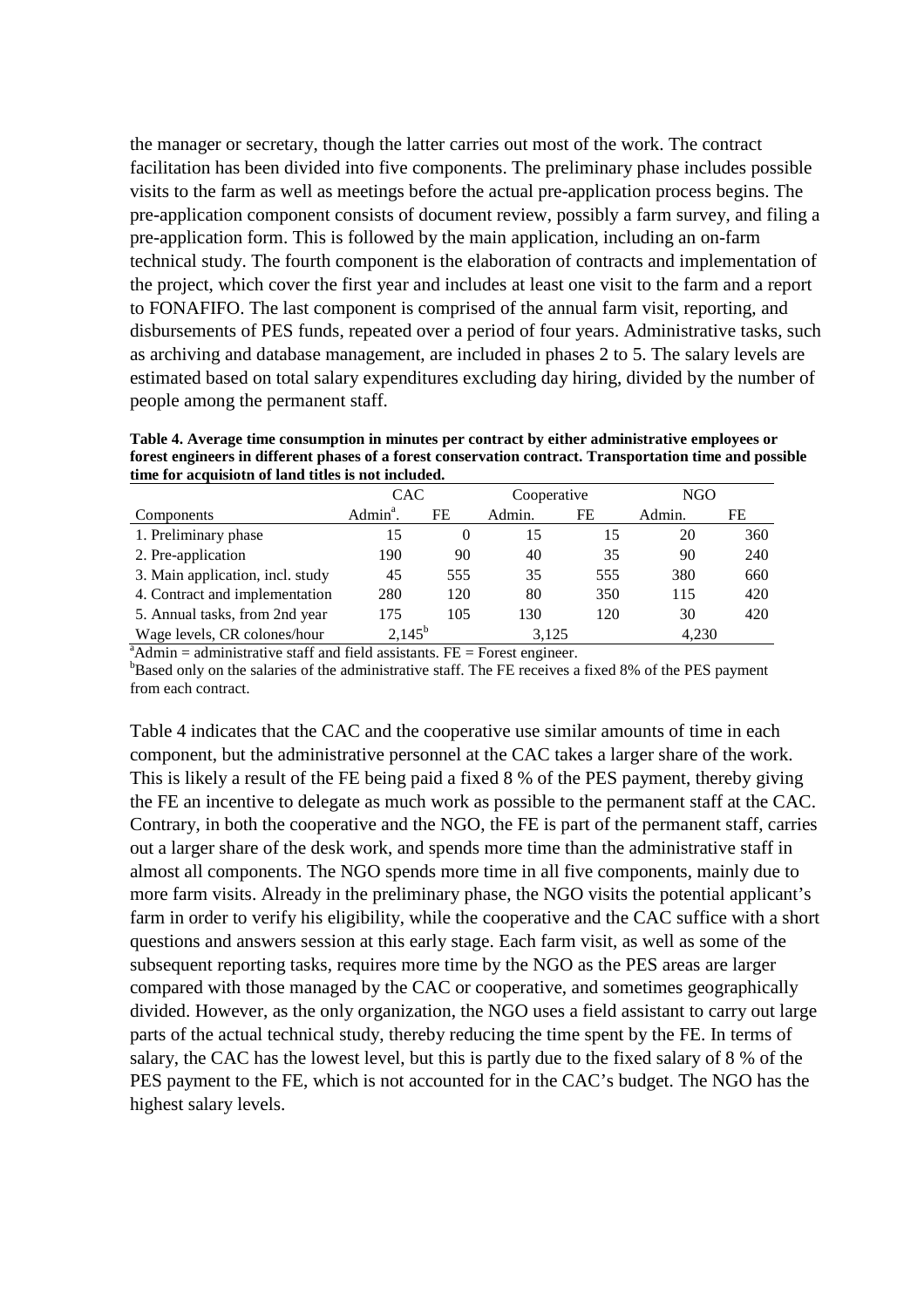the manager or secretary, though the latter carries out most of the work. The contract facilitation has been divided into five components. The preliminary phase includes possible visits to the farm as well as meetings before the actual pre-application process begins. The pre-application component consists of document review, possibly a farm survey, and filing a pre-application form. This is followed by the main application, including an on-farm technical study. The fourth component is the elaboration of contracts and implementation of the project, which cover the first year and includes at least one visit to the farm and a report to FONAFIFO. The last component is comprised of the annual farm visit, reporting, and disbursements of PES funds, repeated over a period of four years. Administrative tasks, such as archiving and database management, are included in phases 2 to 5. The salary levels are estimated based on total salary expenditures excluding day hiring, divided by the number of people among the permanent staff.

**Table 4. Average time consumption in minutes per contract by either administrative employees or forest engineers in different phases of a forest conservation contract. Transportation time and possible time for acquisiotn of land titles is not included.** 

|                                  | <b>CAC</b>           |     | Cooperative |     | NGO    |     |
|----------------------------------|----------------------|-----|-------------|-----|--------|-----|
| Components                       | Admin <sup>a</sup> . | FE  | Admin.      | FE  | Admin. | FE  |
| 1. Preliminary phase             | 15                   |     | 15          | 15  | 20     | 360 |
| 2. Pre-application               | 190                  | 90  | 40          | 35  | 90     | 240 |
| 3. Main application, incl. study | 45                   | 555 | 35          | 555 | 380    | 660 |
| 4. Contract and implementation   | 280                  | 120 | 80          | 350 | 115    | 420 |
| 5. Annual tasks, from 2nd year   | 175                  | 105 | 130         | 120 | 30     | 420 |
| Wage levels, CR colones/hour     | $2,145^b$            |     | 3.125       |     | 4.230  |     |

 $a<sup>a</sup>$ Admin = administrative staff and field assistants. FE = Forest engineer.

<sup>b</sup>Based only on the salaries of the administrative staff. The FE receives a fixed 8% of the PES payment from each contract.

Table 4 indicates that the CAC and the cooperative use similar amounts of time in each component, but the administrative personnel at the CAC takes a larger share of the work. This is likely a result of the FE being paid a fixed 8 % of the PES payment, thereby giving the FE an incentive to delegate as much work as possible to the permanent staff at the CAC. Contrary, in both the cooperative and the NGO, the FE is part of the permanent staff, carries out a larger share of the desk work, and spends more time than the administrative staff in almost all components. The NGO spends more time in all five components, mainly due to more farm visits. Already in the preliminary phase, the NGO visits the potential applicant's farm in order to verify his eligibility, while the cooperative and the CAC suffice with a short questions and answers session at this early stage. Each farm visit, as well as some of the subsequent reporting tasks, requires more time by the NGO as the PES areas are larger compared with those managed by the CAC or cooperative, and sometimes geographically divided. However, as the only organization, the NGO uses a field assistant to carry out large parts of the actual technical study, thereby reducing the time spent by the FE. In terms of salary, the CAC has the lowest level, but this is partly due to the fixed salary of 8 % of the PES payment to the FE, which is not accounted for in the CAC's budget. The NGO has the highest salary levels.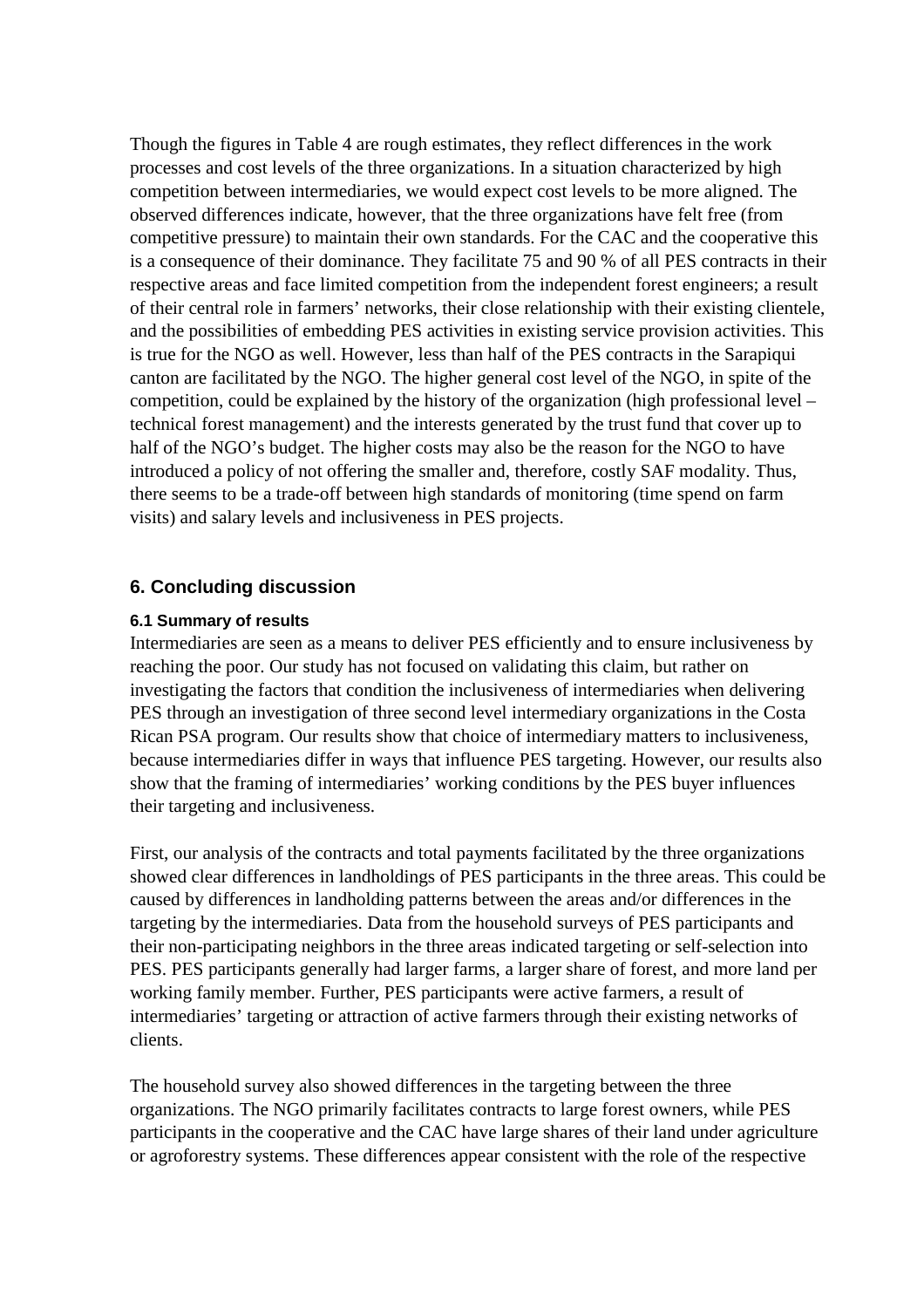Though the figures in Table 4 are rough estimates, they reflect differences in the work processes and cost levels of the three organizations. In a situation characterized by high competition between intermediaries, we would expect cost levels to be more aligned. The observed differences indicate, however, that the three organizations have felt free (from competitive pressure) to maintain their own standards. For the CAC and the cooperative this is a consequence of their dominance. They facilitate 75 and 90 % of all PES contracts in their respective areas and face limited competition from the independent forest engineers; a result of their central role in farmers' networks, their close relationship with their existing clientele, and the possibilities of embedding PES activities in existing service provision activities. This is true for the NGO as well. However, less than half of the PES contracts in the Sarapiqui canton are facilitated by the NGO. The higher general cost level of the NGO, in spite of the competition, could be explained by the history of the organization (high professional level – technical forest management) and the interests generated by the trust fund that cover up to half of the NGO's budget. The higher costs may also be the reason for the NGO to have introduced a policy of not offering the smaller and, therefore, costly SAF modality. Thus, there seems to be a trade-off between high standards of monitoring (time spend on farm visits) and salary levels and inclusiveness in PES projects.

# **6. Concluding discussion**

## **6.1 Summary of results**

Intermediaries are seen as a means to deliver PES efficiently and to ensure inclusiveness by reaching the poor. Our study has not focused on validating this claim, but rather on investigating the factors that condition the inclusiveness of intermediaries when delivering PES through an investigation of three second level intermediary organizations in the Costa Rican PSA program. Our results show that choice of intermediary matters to inclusiveness, because intermediaries differ in ways that influence PES targeting. However, our results also show that the framing of intermediaries' working conditions by the PES buyer influences their targeting and inclusiveness.

First, our analysis of the contracts and total payments facilitated by the three organizations showed clear differences in landholdings of PES participants in the three areas. This could be caused by differences in landholding patterns between the areas and/or differences in the targeting by the intermediaries. Data from the household surveys of PES participants and their non-participating neighbors in the three areas indicated targeting or self-selection into PES. PES participants generally had larger farms, a larger share of forest, and more land per working family member. Further, PES participants were active farmers, a result of intermediaries' targeting or attraction of active farmers through their existing networks of clients.

The household survey also showed differences in the targeting between the three organizations. The NGO primarily facilitates contracts to large forest owners, while PES participants in the cooperative and the CAC have large shares of their land under agriculture or agroforestry systems. These differences appear consistent with the role of the respective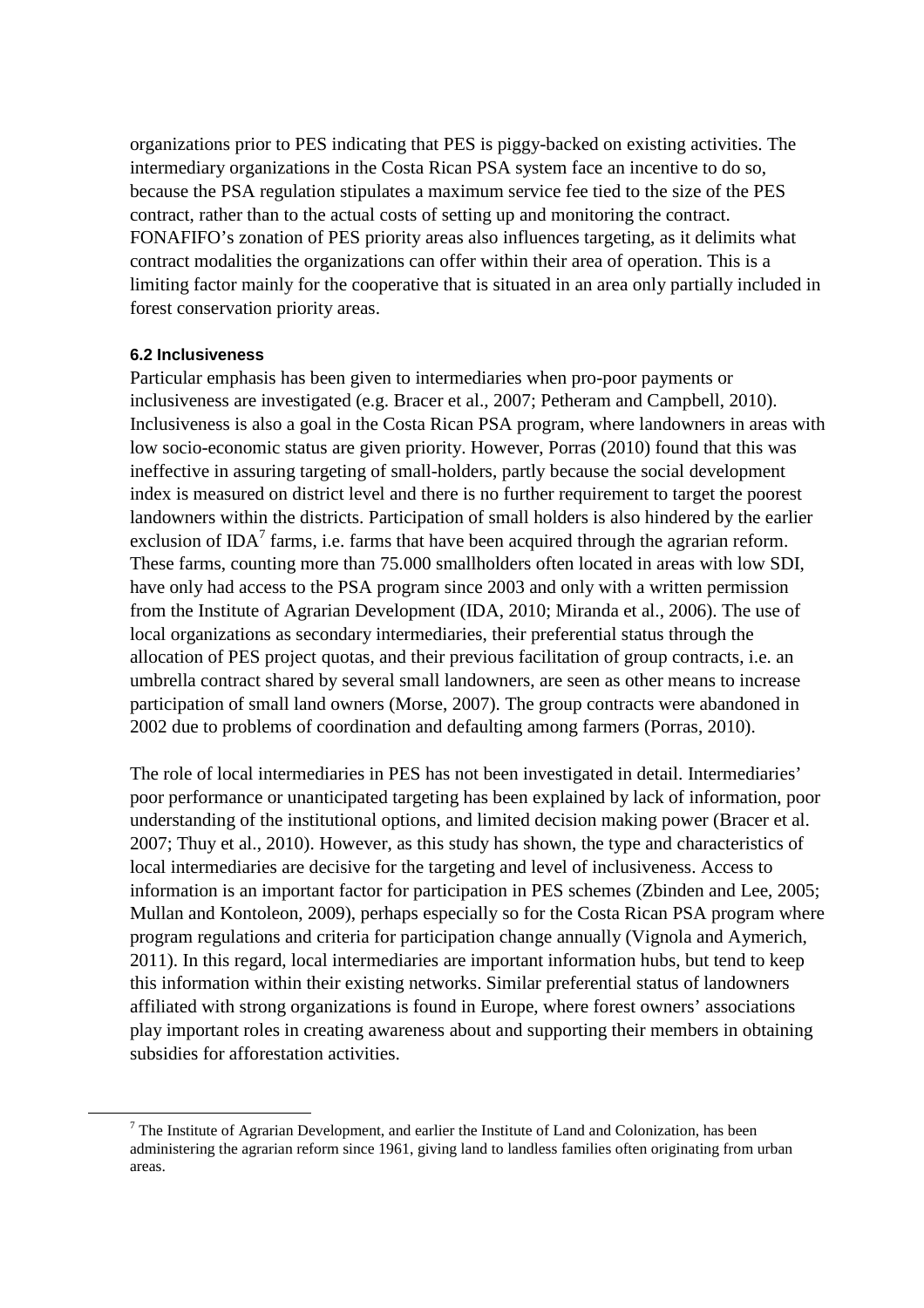organizations prior to PES indicating that PES is piggy-backed on existing activities. The intermediary organizations in the Costa Rican PSA system face an incentive to do so, because the PSA regulation stipulates a maximum service fee tied to the size of the PES contract, rather than to the actual costs of setting up and monitoring the contract. FONAFIFO's zonation of PES priority areas also influences targeting, as it delimits what contract modalities the organizations can offer within their area of operation. This is a limiting factor mainly for the cooperative that is situated in an area only partially included in forest conservation priority areas.

#### **6.2 Inclusiveness**

 $\overline{a}$ 

Particular emphasis has been given to intermediaries when pro-poor payments or inclusiveness are investigated (e.g. Bracer et al., 2007; Petheram and Campbell, 2010). Inclusiveness is also a goal in the Costa Rican PSA program, where landowners in areas with low socio-economic status are given priority. However, Porras (2010) found that this was ineffective in assuring targeting of small-holders, partly because the social development index is measured on district level and there is no further requirement to target the poorest landowners within the districts. Participation of small holders is also hindered by the earlier exclusion of IDA<sup>7</sup> farms, i.e. farms that have been acquired through the agrarian reform. These farms, counting more than 75.000 smallholders often located in areas with low SDI, have only had access to the PSA program since 2003 and only with a written permission from the Institute of Agrarian Development (IDA, 2010; Miranda et al., 2006). The use of local organizations as secondary intermediaries, their preferential status through the allocation of PES project quotas, and their previous facilitation of group contracts, i.e. an umbrella contract shared by several small landowners, are seen as other means to increase participation of small land owners (Morse, 2007). The group contracts were abandoned in 2002 due to problems of coordination and defaulting among farmers (Porras, 2010).

The role of local intermediaries in PES has not been investigated in detail. Intermediaries' poor performance or unanticipated targeting has been explained by lack of information, poor understanding of the institutional options, and limited decision making power (Bracer et al. 2007; Thuy et al., 2010). However, as this study has shown, the type and characteristics of local intermediaries are decisive for the targeting and level of inclusiveness. Access to information is an important factor for participation in PES schemes (Zbinden and Lee, 2005; Mullan and Kontoleon, 2009), perhaps especially so for the Costa Rican PSA program where program regulations and criteria for participation change annually (Vignola and Aymerich, 2011). In this regard, local intermediaries are important information hubs, but tend to keep this information within their existing networks. Similar preferential status of landowners affiliated with strong organizations is found in Europe, where forest owners' associations play important roles in creating awareness about and supporting their members in obtaining subsidies for afforestation activities.

 $<sup>7</sup>$  The Institute of Agrarian Development, and earlier the Institute of Land and Colonization, has been</sup> administering the agrarian reform since 1961, giving land to landless families often originating from urban areas.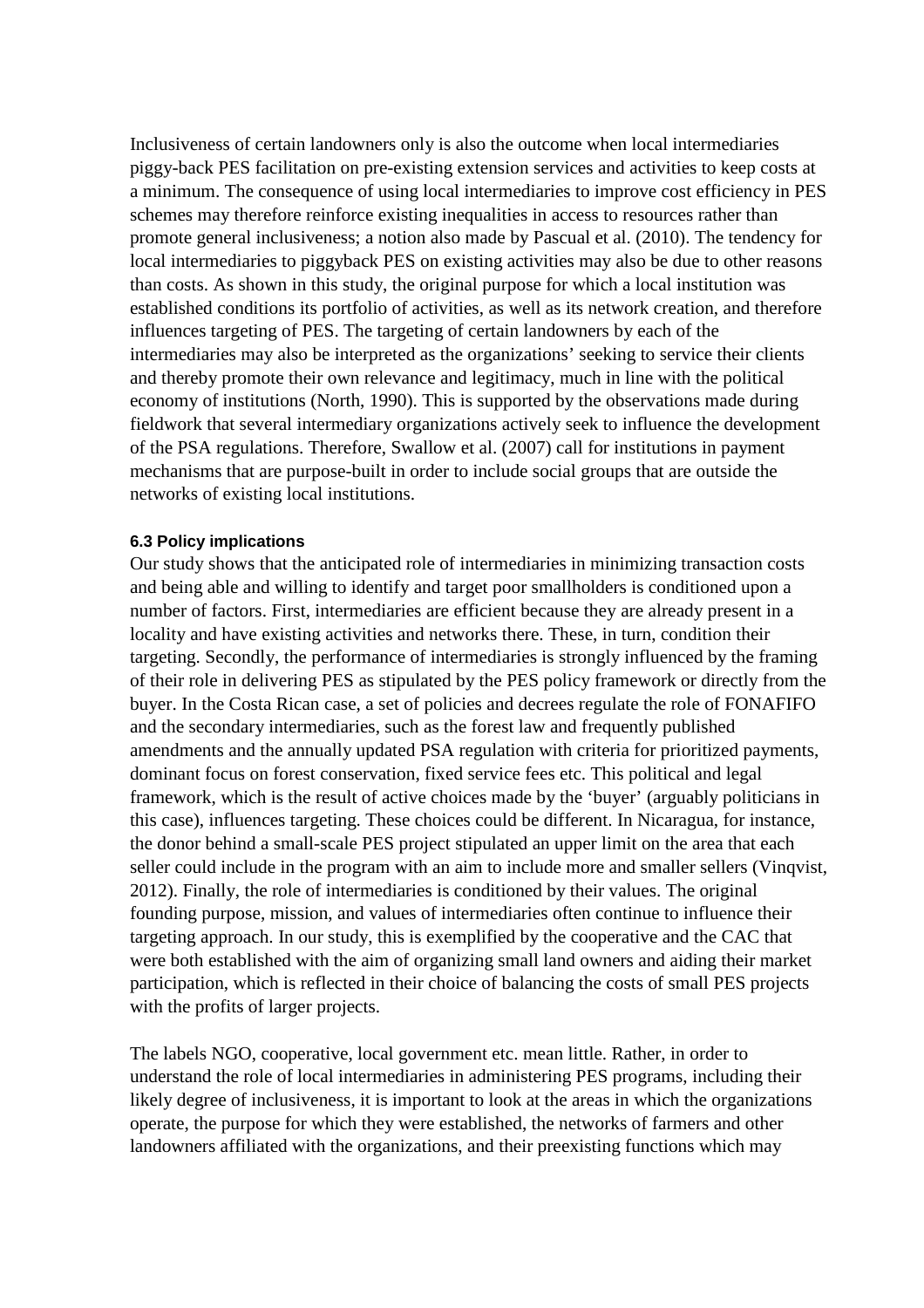Inclusiveness of certain landowners only is also the outcome when local intermediaries piggy-back PES facilitation on pre-existing extension services and activities to keep costs at a minimum. The consequence of using local intermediaries to improve cost efficiency in PES schemes may therefore reinforce existing inequalities in access to resources rather than promote general inclusiveness; a notion also made by Pascual et al. (2010). The tendency for local intermediaries to piggyback PES on existing activities may also be due to other reasons than costs. As shown in this study, the original purpose for which a local institution was established conditions its portfolio of activities, as well as its network creation, and therefore influences targeting of PES. The targeting of certain landowners by each of the intermediaries may also be interpreted as the organizations' seeking to service their clients and thereby promote their own relevance and legitimacy, much in line with the political economy of institutions (North, 1990). This is supported by the observations made during fieldwork that several intermediary organizations actively seek to influence the development of the PSA regulations. Therefore, Swallow et al. (2007) call for institutions in payment mechanisms that are purpose-built in order to include social groups that are outside the networks of existing local institutions.

#### **6.3 Policy implications**

Our study shows that the anticipated role of intermediaries in minimizing transaction costs and being able and willing to identify and target poor smallholders is conditioned upon a number of factors. First, intermediaries are efficient because they are already present in a locality and have existing activities and networks there. These, in turn, condition their targeting. Secondly, the performance of intermediaries is strongly influenced by the framing of their role in delivering PES as stipulated by the PES policy framework or directly from the buyer. In the Costa Rican case, a set of policies and decrees regulate the role of FONAFIFO and the secondary intermediaries, such as the forest law and frequently published amendments and the annually updated PSA regulation with criteria for prioritized payments, dominant focus on forest conservation, fixed service fees etc. This political and legal framework, which is the result of active choices made by the 'buyer' (arguably politicians in this case), influences targeting. These choices could be different. In Nicaragua, for instance, the donor behind a small-scale PES project stipulated an upper limit on the area that each seller could include in the program with an aim to include more and smaller sellers (Vinqvist, 2012). Finally, the role of intermediaries is conditioned by their values. The original founding purpose, mission, and values of intermediaries often continue to influence their targeting approach. In our study, this is exemplified by the cooperative and the CAC that were both established with the aim of organizing small land owners and aiding their market participation, which is reflected in their choice of balancing the costs of small PES projects with the profits of larger projects.

The labels NGO, cooperative, local government etc. mean little. Rather, in order to understand the role of local intermediaries in administering PES programs, including their likely degree of inclusiveness, it is important to look at the areas in which the organizations operate, the purpose for which they were established, the networks of farmers and other landowners affiliated with the organizations, and their preexisting functions which may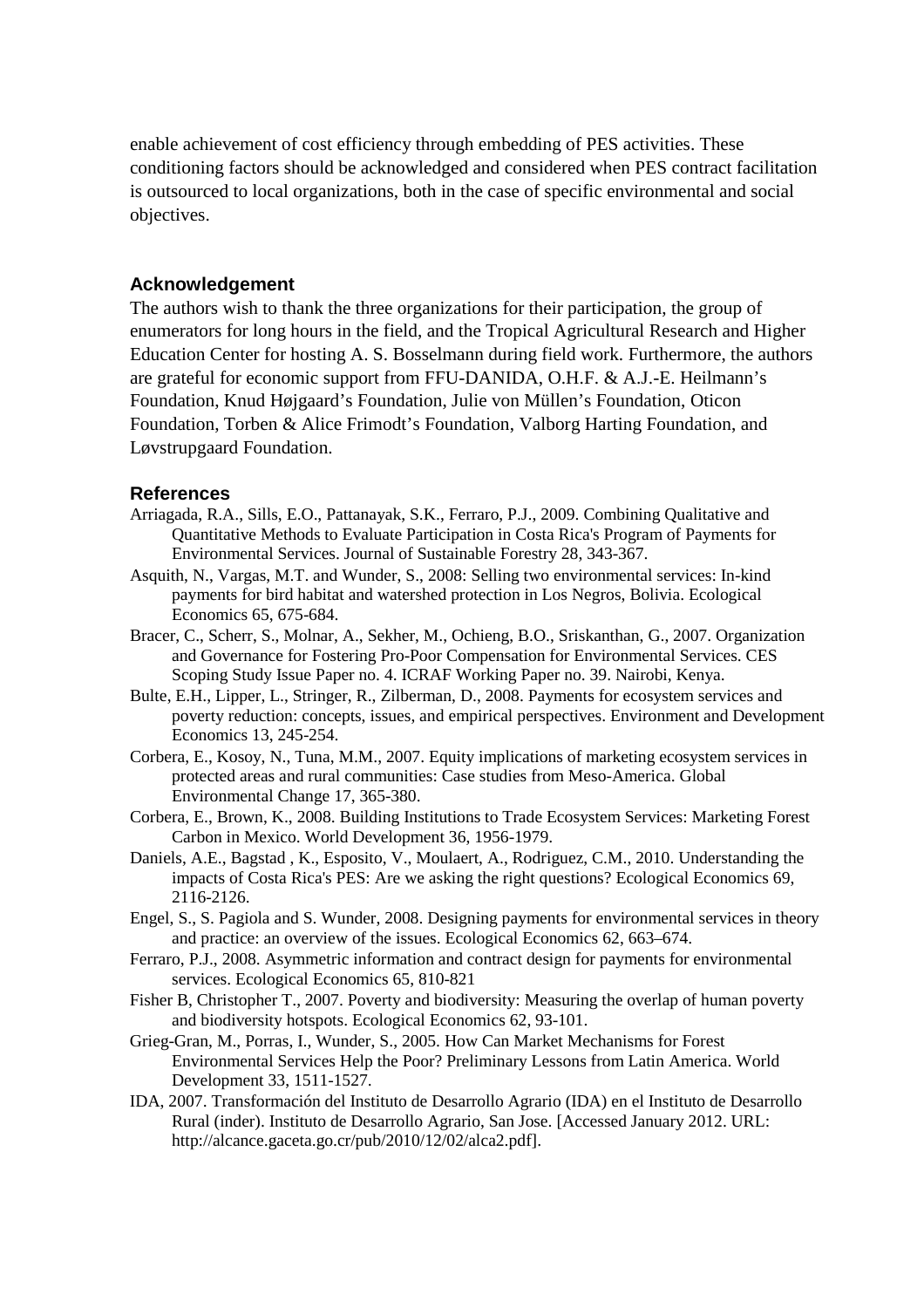enable achievement of cost efficiency through embedding of PES activities. These conditioning factors should be acknowledged and considered when PES contract facilitation is outsourced to local organizations, both in the case of specific environmental and social objectives.

## **Acknowledgement**

The authors wish to thank the three organizations for their participation, the group of enumerators for long hours in the field, and the Tropical Agricultural Research and Higher Education Center for hosting A. S. Bosselmann during field work. Furthermore, the authors are grateful for economic support from FFU-DANIDA, O.H.F. & A.J.-E. Heilmann's Foundation, Knud Højgaard's Foundation, Julie von Müllen's Foundation, Oticon Foundation, Torben & Alice Frimodt's Foundation, Valborg Harting Foundation, and Løvstrupgaard Foundation.

#### **References**

- Arriagada, R.A., Sills, E.O., Pattanayak, S.K., Ferraro, P.J., 2009. Combining Qualitative and Quantitative Methods to Evaluate Participation in Costa Rica's Program of Payments for Environmental Services. Journal of Sustainable Forestry 28, 343-367.
- Asquith, N., Vargas, M.T. and Wunder, S., 2008: Selling two environmental services: In-kind payments for bird habitat and watershed protection in Los Negros, Bolivia. Ecological Economics 65, 675-684.
- Bracer, C., Scherr, S., Molnar, A., Sekher, M., Ochieng, B.O., Sriskanthan, G., 2007. Organization and Governance for Fostering Pro-Poor Compensation for Environmental Services. CES Scoping Study Issue Paper no. 4. ICRAF Working Paper no. 39. Nairobi, Kenya.
- Bulte, E.H., Lipper, L., Stringer, R., Zilberman, D., 2008. Payments for ecosystem services and poverty reduction: concepts, issues, and empirical perspectives. Environment and Development Economics 13, 245-254.
- Corbera, E., Kosoy, N., Tuna, M.M., 2007. Equity implications of marketing ecosystem services in protected areas and rural communities: Case studies from Meso-America. Global Environmental Change 17, 365-380.
- Corbera, E., Brown, K., 2008. Building Institutions to Trade Ecosystem Services: Marketing Forest Carbon in Mexico. World Development 36, 1956-1979.
- Daniels, A.E., Bagstad , K., Esposito, V., Moulaert, A., Rodriguez, C.M., 2010. Understanding the impacts of Costa Rica's PES: Are we asking the right questions? Ecological Economics 69, 2116-2126.
- Engel, S., S. Pagiola and S. Wunder, 2008. Designing payments for environmental services in theory and practice: an overview of the issues. Ecological Economics 62, 663–674.
- Ferraro, P.J., 2008. Asymmetric information and contract design for payments for environmental services. Ecological Economics 65, 810-821
- Fisher B, Christopher T., 2007. Poverty and biodiversity: Measuring the overlap of human poverty and biodiversity hotspots. Ecological Economics 62, 93-101.
- Grieg-Gran, M., Porras, I., Wunder, S., 2005. How Can Market Mechanisms for Forest Environmental Services Help the Poor? Preliminary Lessons from Latin America. World Development 33, 1511-1527.
- IDA, 2007. Transformación del Instituto de Desarrollo Agrario (IDA) en el Instituto de Desarrollo Rural (inder). Instituto de Desarrollo Agrario, San Jose. [Accessed January 2012. URL: http://alcance.gaceta.go.cr/pub/2010/12/02/alca2.pdf].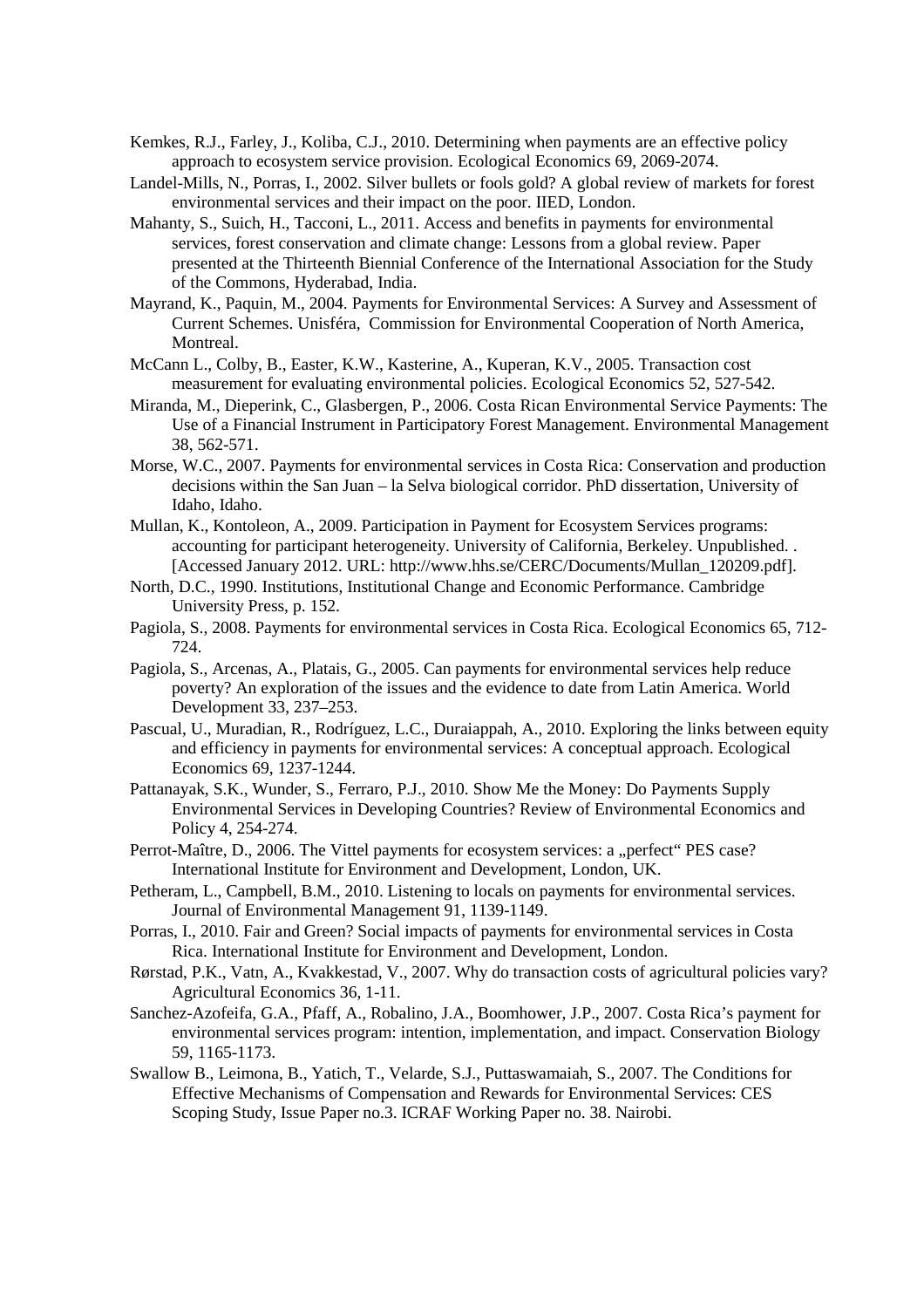- Kemkes, R.J., Farley, J., Koliba, C.J., 2010. Determining when payments are an effective policy approach to ecosystem service provision. Ecological Economics 69, 2069-2074.
- Landel-Mills, N., Porras, I., 2002. Silver bullets or fools gold? A global review of markets for forest environmental services and their impact on the poor. IIED, London.
- Mahanty, S., Suich, H., Tacconi, L., 2011. Access and benefits in payments for environmental services, forest conservation and climate change: Lessons from a global review. Paper presented at the Thirteenth Biennial Conference of the International Association for the Study of the Commons, Hyderabad, India.
- Mayrand, K., Paquin, M., 2004. Payments for Environmental Services: A Survey and Assessment of Current Schemes. Unisféra, Commission for Environmental Cooperation of North America, Montreal.
- McCann L., Colby, B., Easter, K.W., Kasterine, A., Kuperan, K.V., 2005. Transaction cost measurement for evaluating environmental policies. Ecological Economics 52, 527-542.
- Miranda, M., Dieperink, C., Glasbergen, P., 2006. Costa Rican Environmental Service Payments: The Use of a Financial Instrument in Participatory Forest Management. Environmental Management 38, 562-571.
- Morse, W.C., 2007. Payments for environmental services in Costa Rica: Conservation and production decisions within the San Juan – la Selva biological corridor. PhD dissertation, University of Idaho, Idaho.
- Mullan, K., Kontoleon, A., 2009. Participation in Payment for Ecosystem Services programs: accounting for participant heterogeneity. University of California, Berkeley. Unpublished. . [Accessed January 2012. URL: http://www.hhs.se/CERC/Documents/Mullan\_120209.pdf].
- North, D.C., 1990. Institutions, Institutional Change and Economic Performance. Cambridge University Press, p. 152.
- Pagiola, S., 2008. Payments for environmental services in Costa Rica. Ecological Economics 65, 712- 724.
- Pagiola, S., Arcenas, A., Platais, G., 2005. Can payments for environmental services help reduce poverty? An exploration of the issues and the evidence to date from Latin America. World Development 33, 237–253.
- Pascual, U., Muradian, R., Rodríguez, L.C., Duraiappah, A., 2010. Exploring the links between equity and efficiency in payments for environmental services: A conceptual approach. Ecological Economics 69, 1237-1244.
- Pattanayak, S.K., Wunder, S., Ferraro, P.J., 2010. Show Me the Money: Do Payments Supply Environmental Services in Developing Countries? Review of Environmental Economics and Policy 4, 254-274.
- Perrot-Maître, D., 2006. The Vittel payments for ecosystem services: a ..perfect" PES case? International Institute for Environment and Development, London, UK.
- Petheram, L., Campbell, B.M., 2010. Listening to locals on payments for environmental services. Journal of Environmental Management 91, 1139-1149.
- Porras, I., 2010. Fair and Green? Social impacts of payments for environmental services in Costa Rica. International Institute for Environment and Development, London.
- Rørstad, P.K., Vatn, A., Kvakkestad, V., 2007. Why do transaction costs of agricultural policies vary? Agricultural Economics 36, 1-11.
- Sanchez-Azofeifa, G.A., Pfaff, A., Robalino, J.A., Boomhower, J.P., 2007. Costa Rica's payment for environmental services program: intention, implementation, and impact. Conservation Biology 59, 1165-1173.
- Swallow B., Leimona, B., Yatich, T., Velarde, S.J., Puttaswamaiah, S., 2007. The Conditions for Effective Mechanisms of Compensation and Rewards for Environmental Services: CES Scoping Study, Issue Paper no.3. ICRAF Working Paper no. 38. Nairobi.